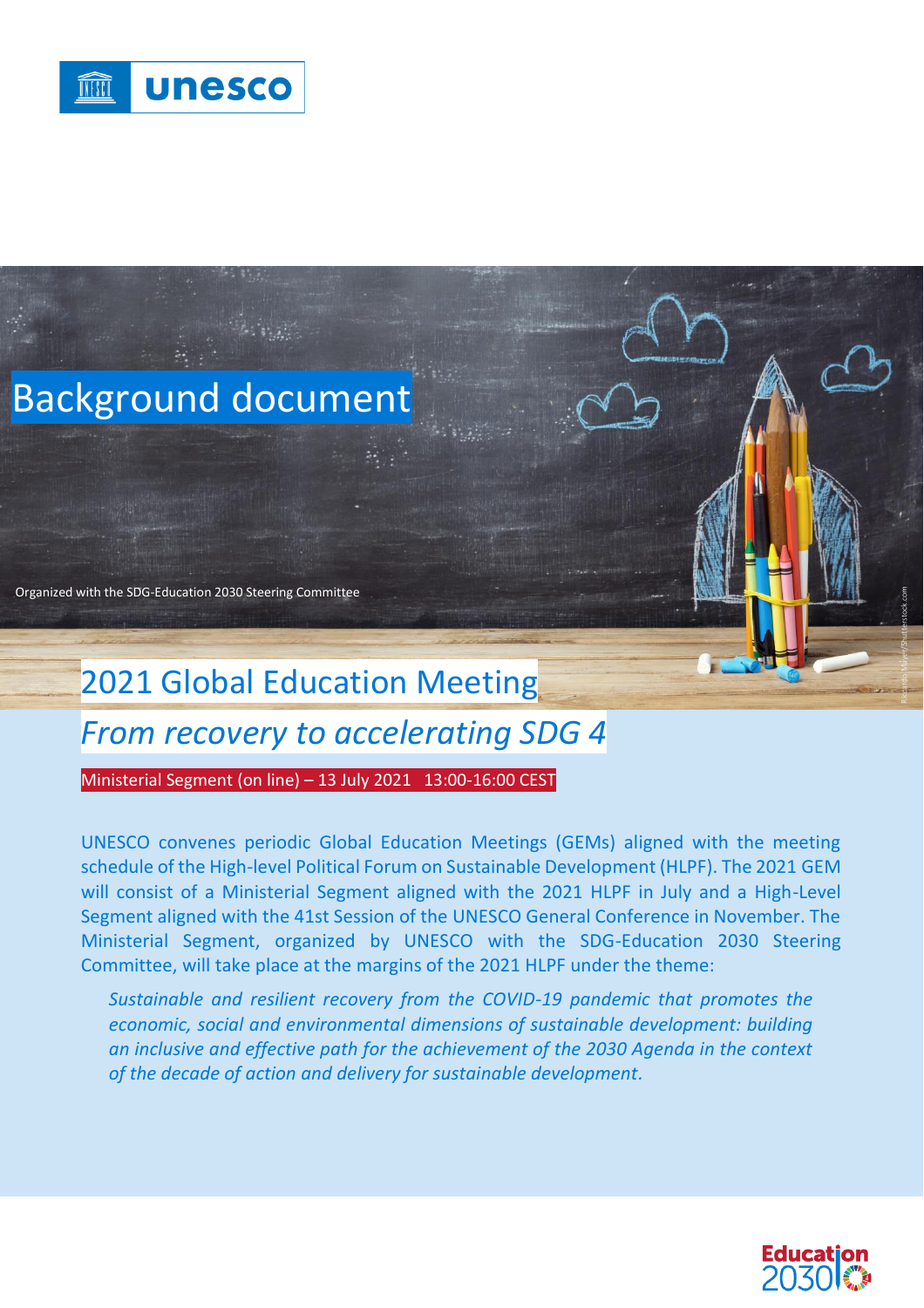



*From recovery to accelerating SDG 4*

Ministerial Segment (on line) – 13 July 2021 13:00-16:00 CEST

UNESCO convenes periodic Global Education Meetings (GEMs) aligned with the meeting schedule of the High-level Political Forum on Sustainable Development (HLPF). The 2021 GEM will consist of a Ministerial Segment aligned with the 2021 HLPF in July and a High-Level Segment aligned with the 41st Session of the UNESCO General Conference in November. The Ministerial Segment, organized by UNESCO with the SDG-Education 2030 Steering Committee, will take place at the margins of the 2021 HLPF under the theme:

*Sustainable and resilient recovery from the COVID-19 pandemic that promotes the economic, social and environmental dimensions of sustainable development: building an inclusive and effective path for the achievement of the 2030 Agenda in the context of the decade of action and delivery for sustainable development.* 

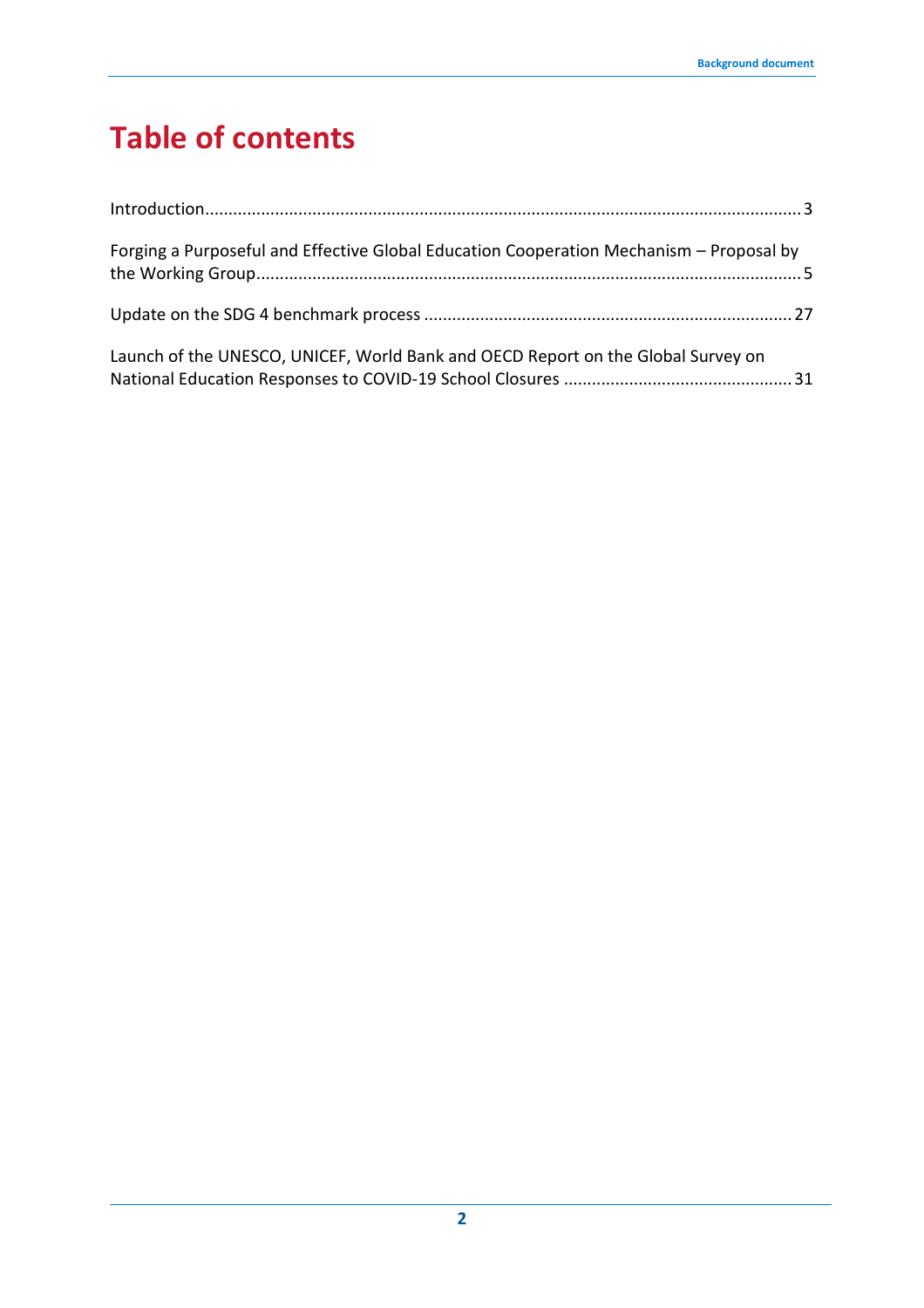# **Table of contents**

| Forging a Purposeful and Effective Global Education Cooperation Mechanism - Proposal by |  |
|-----------------------------------------------------------------------------------------|--|
|                                                                                         |  |
| Launch of the UNESCO, UNICEF, World Bank and OECD Report on the Global Survey on        |  |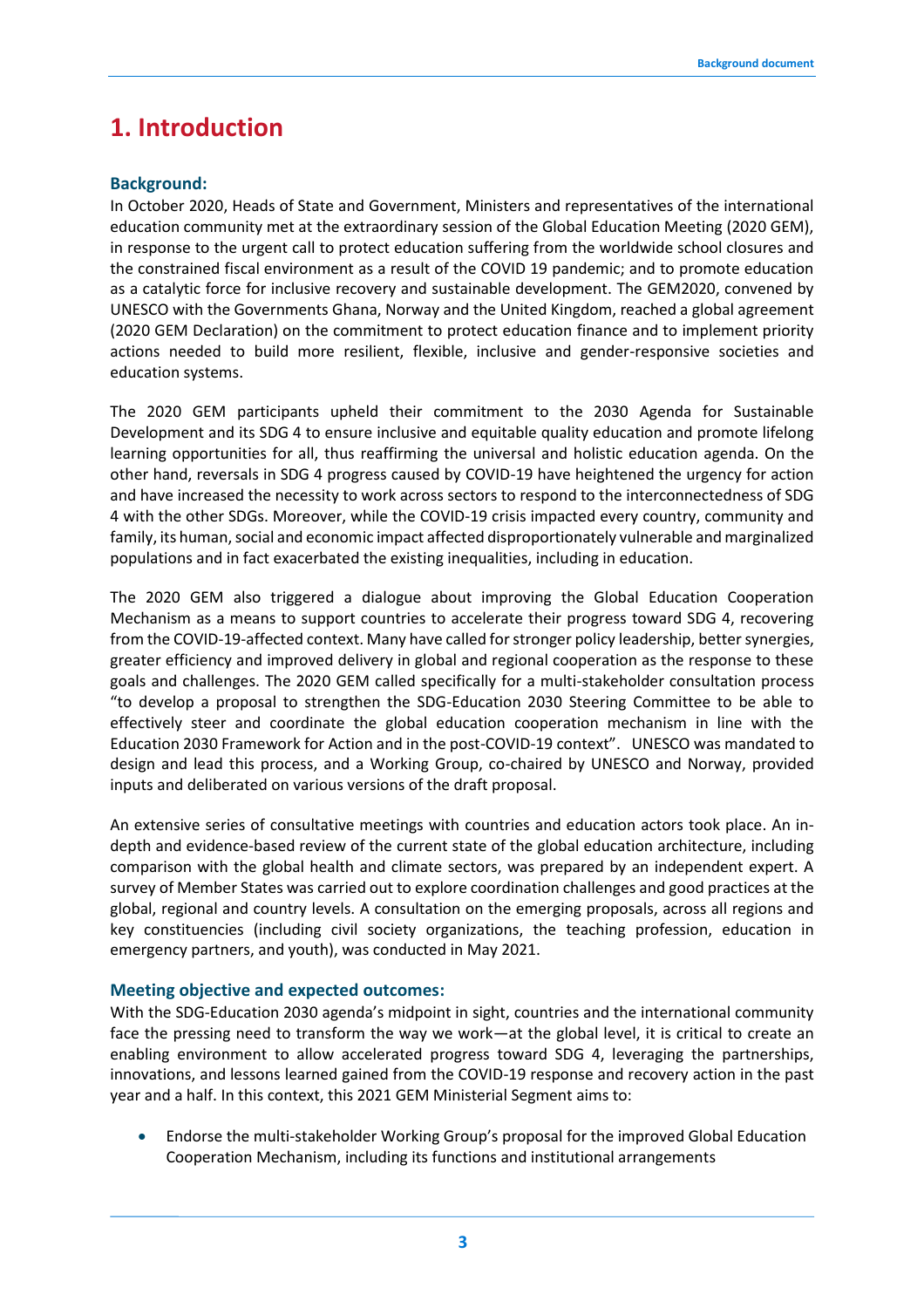## <span id="page-2-0"></span>**1. Introduction**

#### **Background:**

In October 2020, Heads of State and Government, Ministers and representatives of the international education community met at the extraordinary session of the Global Education Meeting (2020 GEM), in response to the urgent call to protect education suffering from the worldwide school closures and the constrained fiscal environment as a result of the COVID 19 pandemic; and to promote education as a catalytic force for inclusive recovery and sustainable development. The GEM2020, convened by UNESCO with the Governments Ghana, Norway and the United Kingdom, reached a global agreement (2020 GEM Declaration) on the commitment to protect education finance and to implement priority actions needed to build more resilient, flexible, inclusive and gender-responsive societies and education systems.

The 2020 GEM participants upheld their commitment to the 2030 Agenda for Sustainable Development and its SDG 4 to ensure inclusive and equitable quality education and promote lifelong learning opportunities for all, thus reaffirming the universal and holistic education agenda. On the other hand, reversals in SDG 4 progress caused by COVID-19 have heightened the urgency for action and have increased the necessity to work across sectors to respond to the interconnectedness of SDG 4 with the other SDGs. Moreover, while the COVID-19 crisis impacted every country, community and family, its human, social and economic impact affected disproportionately vulnerable and marginalized populations and in fact exacerbated the existing inequalities, including in education.

The 2020 GEM also triggered a dialogue about improving the Global Education Cooperation Mechanism as a means to support countries to accelerate their progress toward SDG 4, recovering from the COVID-19-affected context. Many have called for stronger policy leadership, better synergies, greater efficiency and improved delivery in global and regional cooperation as the response to these goals and challenges. The 2020 GEM called specifically for a multi-stakeholder consultation process "to develop a proposal to strengthen the SDG-Education 2030 Steering Committee to be able to effectively steer and coordinate the global education cooperation mechanism in line with the Education 2030 Framework for Action and in the post-COVID-19 context". UNESCO was mandated to design and lead this process, and a Working Group, co-chaired by UNESCO and Norway, provided inputs and deliberated on various versions of the draft proposal.

An extensive series of consultative meetings with countries and education actors took place. An indepth and evidence-based review of the current state of the global education architecture, including comparison with the global health and climate sectors, was prepared by an independent expert. A survey of Member States was carried out to explore coordination challenges and good practices at the global, regional and country levels. A consultation on the emerging proposals, across all regions and key constituencies (including civil society organizations, the teaching profession, education in emergency partners, and youth), was conducted in May 2021.

#### **Meeting objective and expected outcomes:**

With the SDG-Education 2030 agenda's midpoint in sight, countries and the international community face the pressing need to transform the way we work—at the global level, it is critical to create an enabling environment to allow accelerated progress toward SDG 4, leveraging the partnerships, innovations, and lessons learned gained from the COVID-19 response and recovery action in the past year and a half. In this context, this 2021 GEM Ministerial Segment aims to:

• Endorse the multi-stakeholder Working Group's proposal for the improved Global Education Cooperation Mechanism, including its functions and institutional arrangements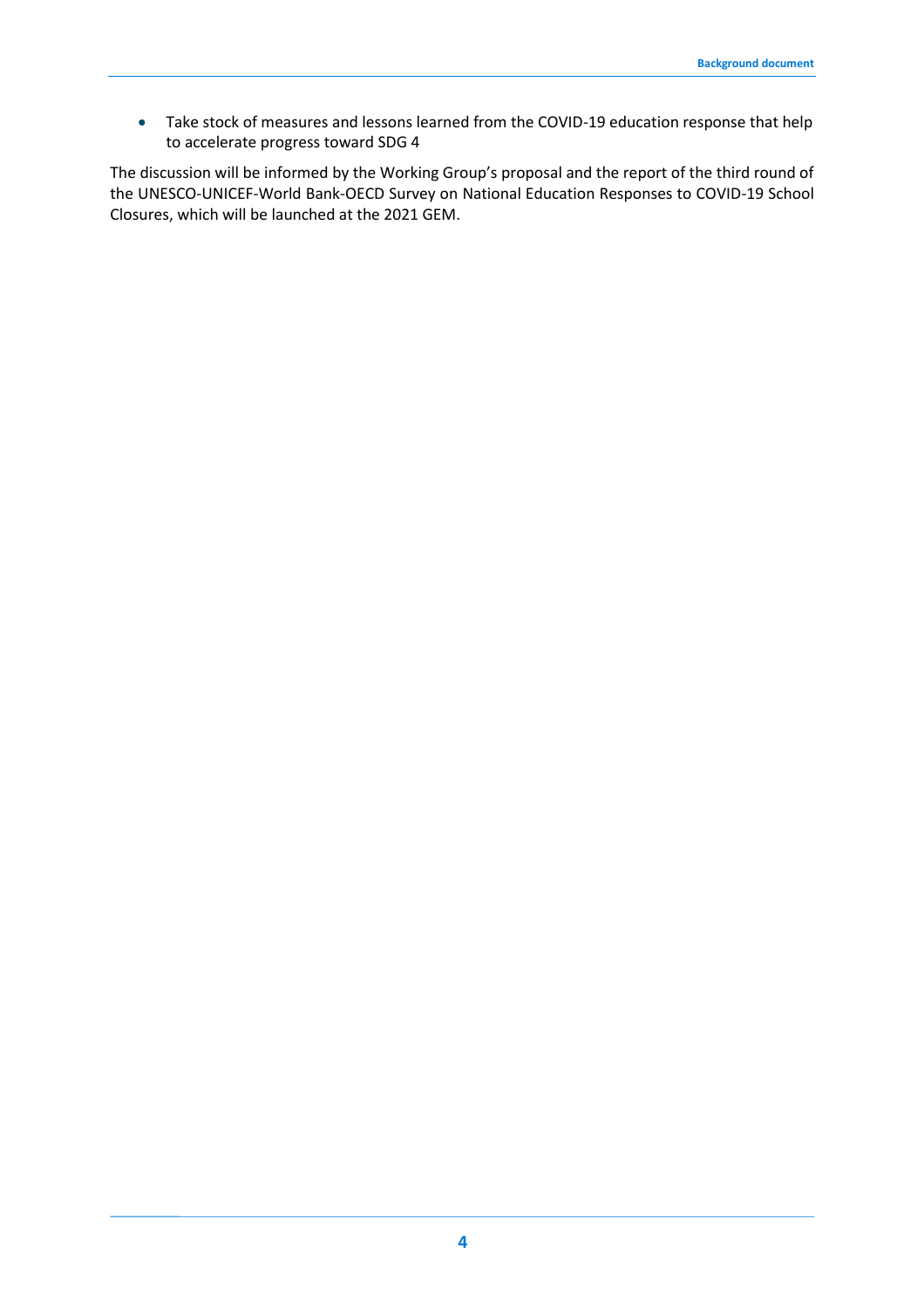• Take stock of measures and lessons learned from the COVID-19 education response that help to accelerate progress toward SDG 4

The discussion will be informed by the Working Group's proposal and the report of the third round of the UNESCO-UNICEF-World Bank-OECD Survey on National Education Responses to COVID-19 School Closures, which will be launched at the 2021 GEM.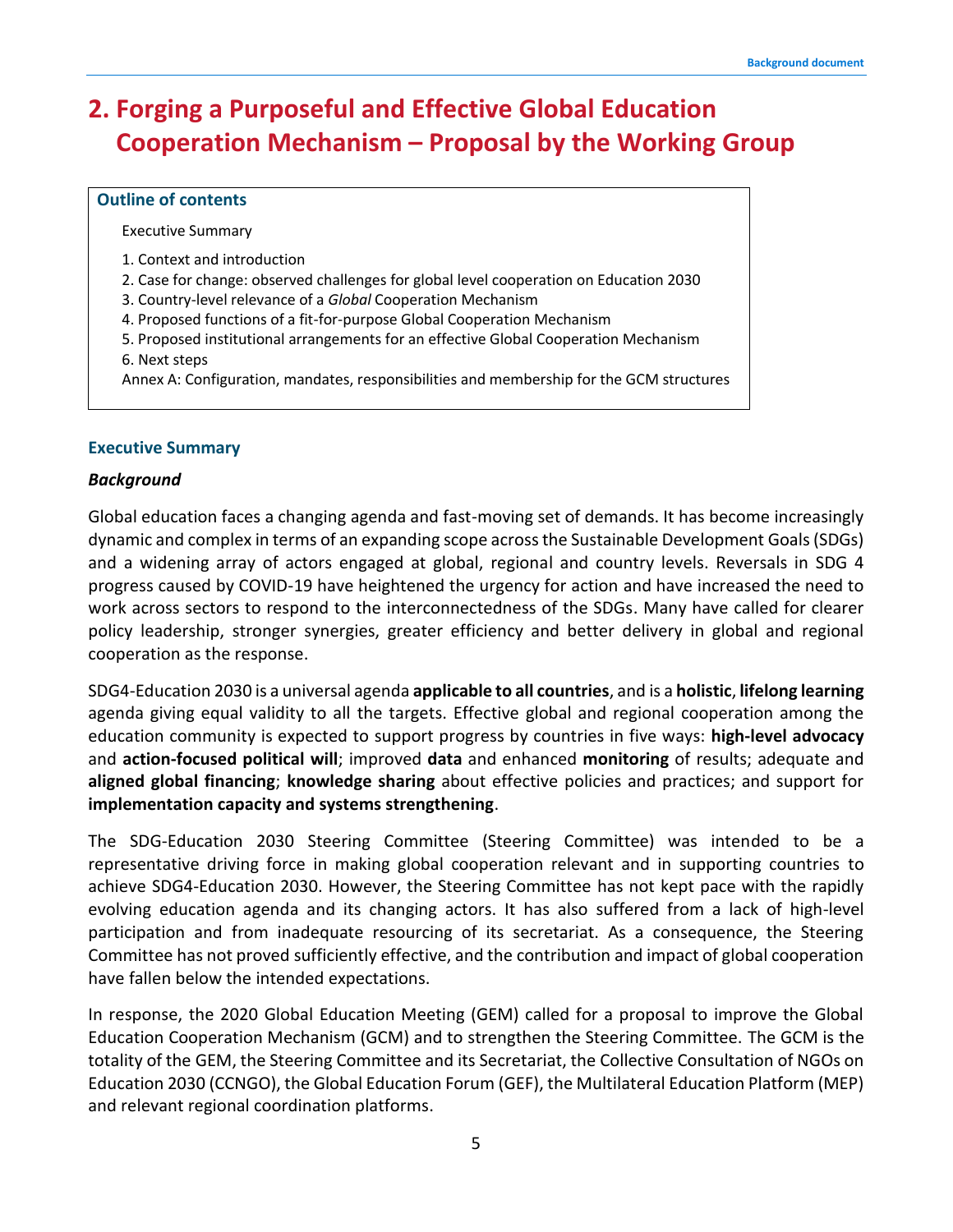## **2. Forging a Purposeful and Effective Global Education Cooperation Mechanism – Proposal by the Working Group**

#### <span id="page-4-0"></span>**Outline of contents**

Executive Summary

- 1. Context and introduction
- 2. Case for change: observed challenges for global level cooperation on Education 2030
- 3. Country-level relevance of a *Global* Cooperation Mechanism
- 4. Proposed functions of a fit-for-purpose Global Cooperation Mechanism
- 5. Proposed institutional arrangements for an effective Global Cooperation Mechanism 6. Next steps
- Annex A: Configuration, mandates, responsibilities and membership for the GCM structures

#### **Executive Summary**

#### *Background*

Global education faces a changing agenda and fast-moving set of demands. It has become increasingly dynamic and complex in terms of an expanding scope across the Sustainable Development Goals (SDGs) and a widening array of actors engaged at global, regional and country levels. Reversals in SDG 4 progress caused by COVID-19 have heightened the urgency for action and have increased the need to work across sectors to respond to the interconnectedness of the SDGs. Many have called for clearer policy leadership, stronger synergies, greater efficiency and better delivery in global and regional cooperation as the response.

SDG4-Education 2030 is a universal agenda **applicable to all countries**, and is a **holistic**, **lifelong learning** agenda giving equal validity to all the targets. Effective global and regional cooperation among the education community is expected to support progress by countries in five ways: **high-level advocacy** and **action-focused political will**; improved **data** and enhanced **monitoring** of results; adequate and **aligned global financing**; **knowledge sharing** about effective policies and practices; and support for **implementation capacity and systems strengthening**.

The SDG-Education 2030 Steering Committee (Steering Committee) was intended to be a representative driving force in making global cooperation relevant and in supporting countries to achieve SDG4-Education 2030. However, the Steering Committee has not kept pace with the rapidly evolving education agenda and its changing actors. It has also suffered from a lack of high-level participation and from inadequate resourcing of its secretariat. As a consequence, the Steering Committee has not proved sufficiently effective, and the contribution and impact of global cooperation have fallen below the intended expectations.

In response, the 2020 Global Education Meeting (GEM) called for a proposal to improve the Global Education Cooperation Mechanism (GCM) and to strengthen the Steering Committee. The GCM is the totality of the GEM, the Steering Committee and its Secretariat, the Collective Consultation of NGOs on Education 2030 (CCNGO), the Global Education Forum (GEF), the Multilateral Education Platform (MEP) and relevant regional coordination platforms.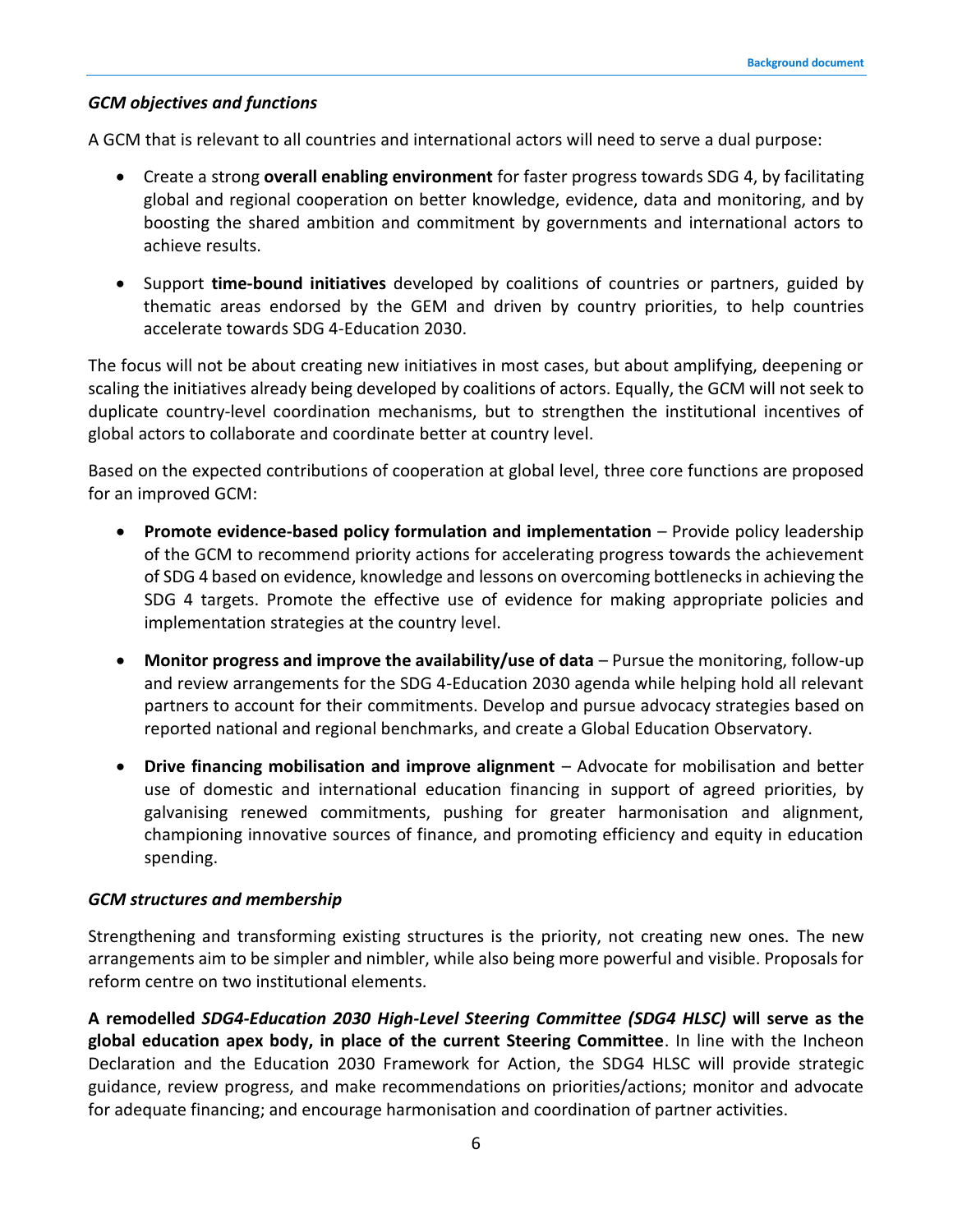### *GCM objectives and functions*

A GCM that is relevant to all countries and international actors will need to serve a dual purpose:

- Create a strong **overall enabling environment** for faster progress towards SDG 4, by facilitating global and regional cooperation on better knowledge, evidence, data and monitoring, and by boosting the shared ambition and commitment by governments and international actors to achieve results.
- Support **time-bound initiatives** developed by coalitions of countries or partners, guided by thematic areas endorsed by the GEM and driven by country priorities, to help countries accelerate towards SDG 4-Education 2030.

The focus will not be about creating new initiatives in most cases, but about amplifying, deepening or scaling the initiatives already being developed by coalitions of actors. Equally, the GCM will not seek to duplicate country-level coordination mechanisms, but to strengthen the institutional incentives of global actors to collaborate and coordinate better at country level.

Based on the expected contributions of cooperation at global level, three core functions are proposed for an improved GCM:

- **Promote evidence-based policy formulation and implementation** Provide policy leadership of the GCM to recommend priority actions for accelerating progress towards the achievement of SDG 4 based on evidence, knowledge and lessons on overcoming bottlenecks in achieving the SDG 4 targets. Promote the effective use of evidence for making appropriate policies and implementation strategies at the country level.
- **Monitor progress and improve the availability/use of data** Pursue the monitoring, follow-up and review arrangements for the SDG 4-Education 2030 agenda while helping hold all relevant partners to account for their commitments. Develop and pursue advocacy strategies based on reported national and regional benchmarks, and create a Global Education Observatory.
- **Drive financing mobilisation and improve alignment**  Advocate for mobilisation and better use of domestic and international education financing in support of agreed priorities, by galvanising renewed commitments, pushing for greater harmonisation and alignment, championing innovative sources of finance, and promoting efficiency and equity in education spending.

#### *GCM structures and membership*

Strengthening and transforming existing structures is the priority, not creating new ones. The new arrangements aim to be simpler and nimbler, while also being more powerful and visible. Proposals for reform centre on two institutional elements.

**A remodelled** *SDG4-Education 2030 High-Level Steering Committee (SDG4 HLSC)* **will serve as the global education apex body, in place of the current Steering Committee**. In line with the Incheon Declaration and the Education 2030 Framework for Action, the SDG4 HLSC will provide strategic guidance, review progress, and make recommendations on priorities/actions; monitor and advocate for adequate financing; and encourage harmonisation and coordination of partner activities.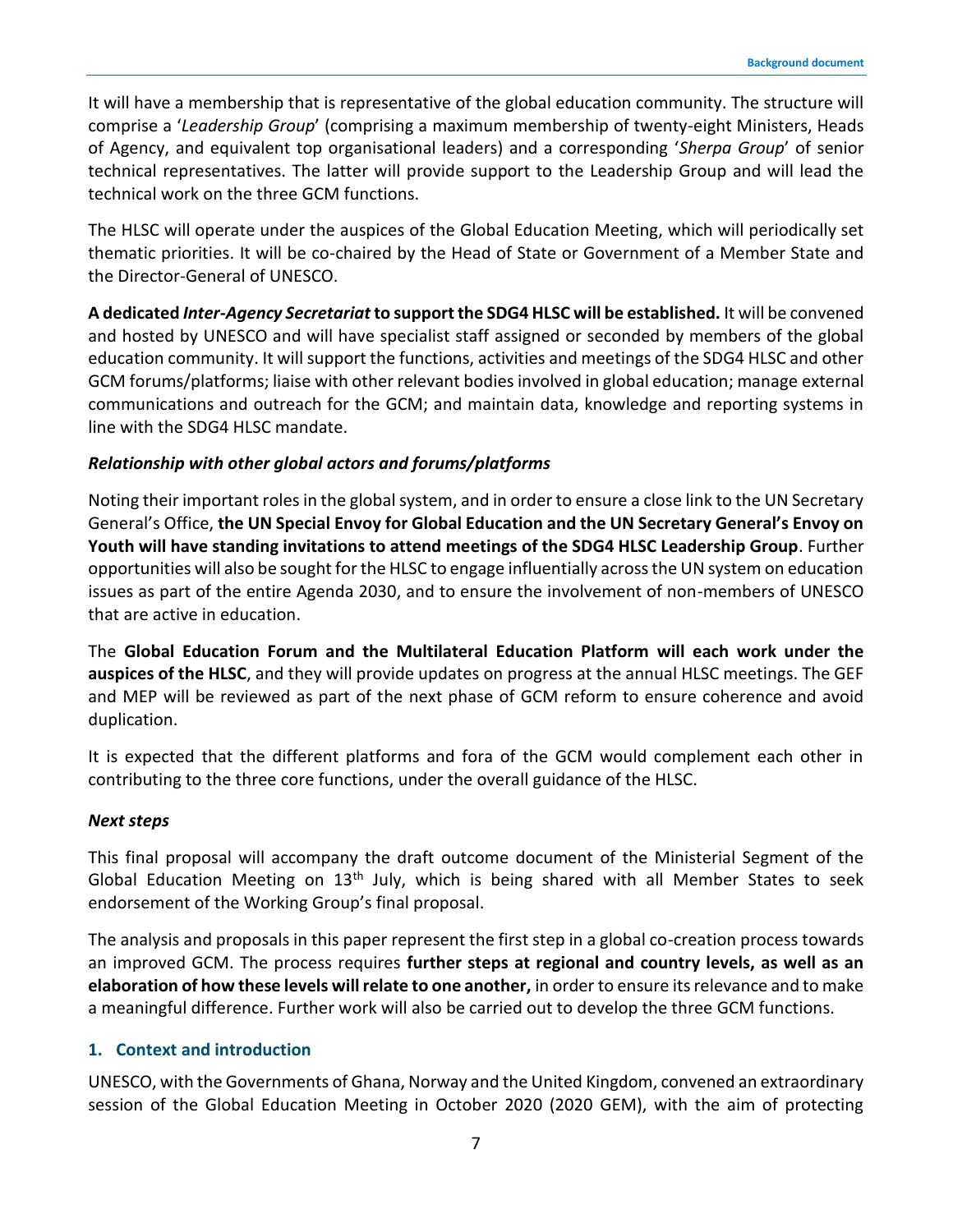It will have a membership that is representative of the global education community. The structure will comprise a '*Leadership Group*' (comprising a maximum membership of twenty-eight Ministers, Heads of Agency, and equivalent top organisational leaders) and a corresponding '*Sherpa Group*' of senior technical representatives. The latter will provide support to the Leadership Group and will lead the technical work on the three GCM functions.

The HLSC will operate under the auspices of the Global Education Meeting, which will periodically set thematic priorities. It will be co-chaired by the Head of State or Government of a Member State and the Director-General of UNESCO.

**A dedicated** *Inter-Agency Secretariat* **to support the SDG4 HLSC will be established.** It will be convened and hosted by UNESCO and will have specialist staff assigned or seconded by members of the global education community. It will support the functions, activities and meetings of the SDG4 HLSC and other GCM forums/platforms; liaise with other relevant bodies involved in global education; manage external communications and outreach for the GCM; and maintain data, knowledge and reporting systems in line with the SDG4 HLSC mandate.

### *Relationship with other global actors and forums/platforms*

Noting their important roles in the global system, and in order to ensure a close link to the UN Secretary General's Office, **the UN Special Envoy for Global Education and the UN Secretary General's Envoy on Youth will have standing invitations to attend meetings of the SDG4 HLSC Leadership Group**. Further opportunities will also be sought for the HLSC to engage influentially across the UN system on education issues as part of the entire Agenda 2030, and to ensure the involvement of non-members of UNESCO that are active in education.

The **Global Education Forum and the Multilateral Education Platform will each work under the auspices of the HLSC**, and they will provide updates on progress at the annual HLSC meetings. The GEF and MEP will be reviewed as part of the next phase of GCM reform to ensure coherence and avoid duplication.

It is expected that the different platforms and fora of the GCM would complement each other in contributing to the three core functions, under the overall guidance of the HLSC.

#### *Next steps*

This final proposal will accompany the draft outcome document of the Ministerial Segment of the Global Education Meeting on  $13<sup>th</sup>$  July, which is being shared with all Member States to seek endorsement of the Working Group's final proposal.

The analysis and proposals in this paper represent the first step in a global co-creation process towards an improved GCM. The process requires **further steps at regional and country levels, as well as an elaboration of how these levels will relate to one another,** in order to ensure its relevance and to make a meaningful difference. Further work will also be carried out to develop the three GCM functions.

#### **1. Context and introduction**

UNESCO, with the Governments of Ghana, Norway and the United Kingdom, convened an extraordinary session of the Global Education Meeting in October 2020 (2020 GEM), with the aim of protecting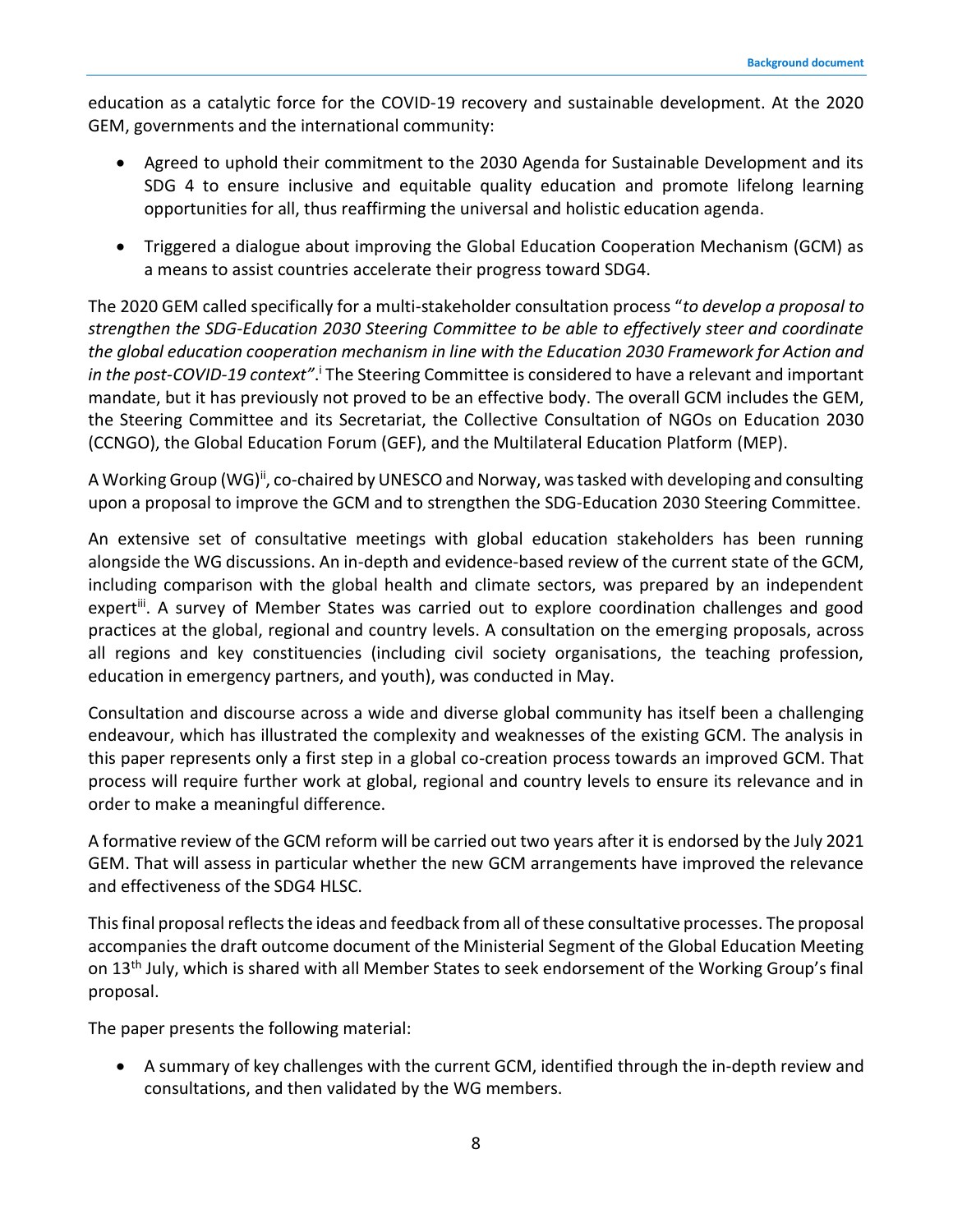education as a catalytic force for the COVID-19 recovery and sustainable development. At the 2020 GEM, governments and the international community:

- Agreed to uphold their commitment to the 2030 Agenda for Sustainable Development and its SDG 4 to ensure inclusive and equitable quality education and promote lifelong learning opportunities for all, thus reaffirming the universal and holistic education agenda.
- Triggered a dialogue about improving the Global Education Cooperation Mechanism (GCM) as a means to assist countries accelerate their progress toward SDG4.

The 2020 GEM called specifically for a multi-stakeholder consultation process "*to develop a proposal to strengthen the SDG-Education 2030 Steering Committee to be able to effectively steer and coordinate the global education cooperation mechanism in line with the Education 2030 Framework for Action and*  in the post-COVID-19 context".<sup>i</sup> The Steering Committee is considered to have a relevant and important mandate, but it has previously not proved to be an effective body. The overall GCM includes the GEM, the Steering Committee and its Secretariat, the Collective Consultation of NGOs on Education 2030 (CCNGO), the Global Education Forum (GEF), and the Multilateral Education Platform (MEP).

A Working Group (WG)<sup>ii</sup>, co-chaired by UNESCO and Norway, was tasked with developing and consulting upon a proposal to improve the GCM and to strengthen the SDG-Education 2030 Steering Committee.

An extensive set of consultative meetings with global education stakeholders has been running alongside the WG discussions. An in-depth and evidence-based review of the current state of the GCM, including comparison with the global health and climate sectors, was prepared by an independent expert<sup>iii</sup>. A survey of Member States was carried out to explore coordination challenges and good practices at the global, regional and country levels. A consultation on the emerging proposals, across all regions and key constituencies (including civil society organisations, the teaching profession, education in emergency partners, and youth), was conducted in May.

Consultation and discourse across a wide and diverse global community has itself been a challenging endeavour, which has illustrated the complexity and weaknesses of the existing GCM. The analysis in this paper represents only a first step in a global co-creation process towards an improved GCM. That process will require further work at global, regional and country levels to ensure its relevance and in order to make a meaningful difference.

A formative review of the GCM reform will be carried out two years after it is endorsed by the July 2021 GEM. That will assess in particular whether the new GCM arrangements have improved the relevance and effectiveness of the SDG4 HLSC.

This final proposal reflects the ideas and feedback from all of these consultative processes. The proposal accompanies the draft outcome document of the Ministerial Segment of the Global Education Meeting on 13<sup>th</sup> July, which is shared with all Member States to seek endorsement of the Working Group's final proposal.

The paper presents the following material:

• A summary of key challenges with the current GCM, identified through the in-depth review and consultations, and then validated by the WG members.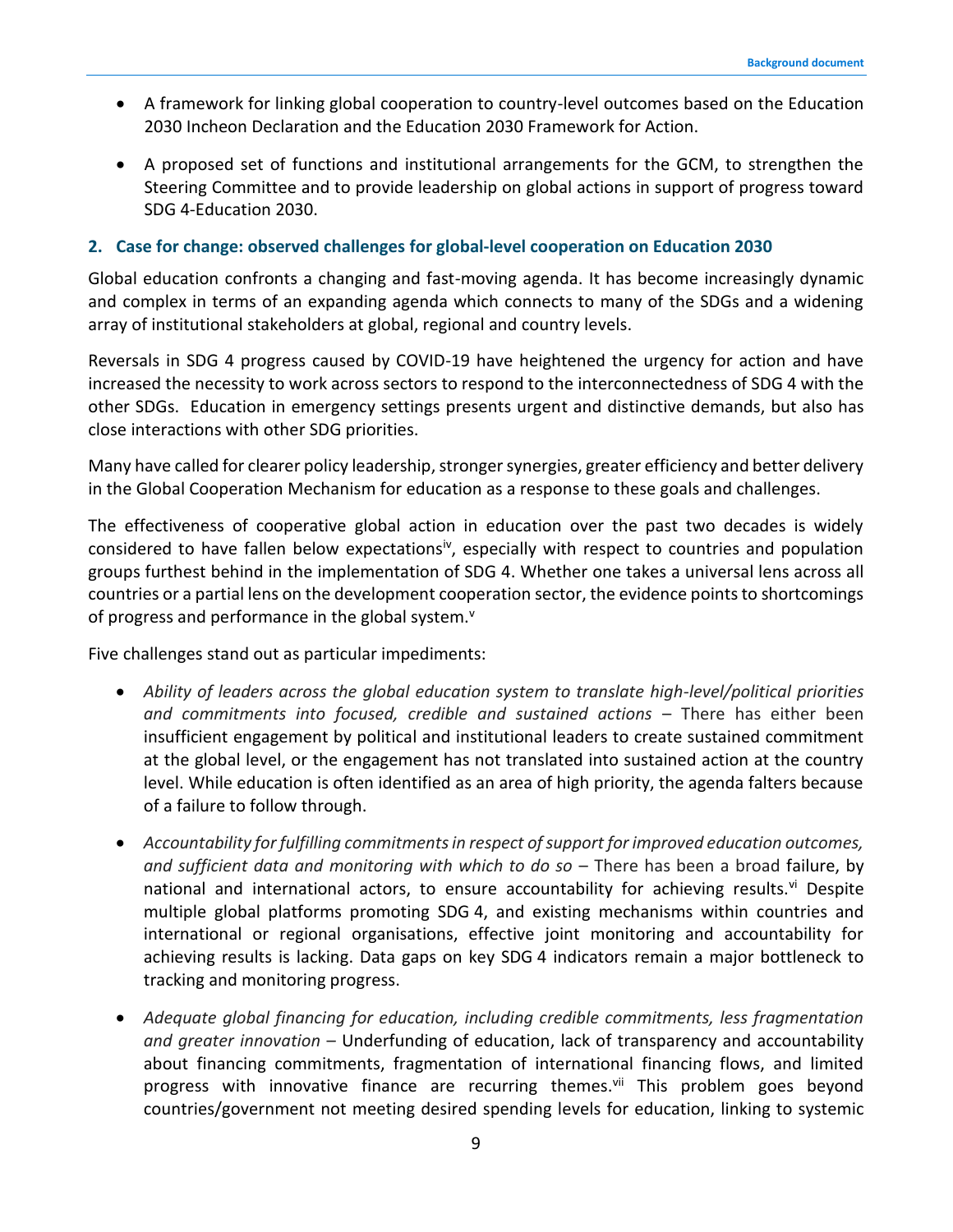- A framework for linking global cooperation to country-level outcomes based on the Education 2030 Incheon Declaration and the Education 2030 Framework for Action.
- A proposed set of functions and institutional arrangements for the GCM, to strengthen the Steering Committee and to provide leadership on global actions in support of progress toward SDG 4-Education 2030.

### **2. Case for change: observed challenges for global-level cooperation on Education 2030**

Global education confronts a changing and fast-moving agenda. It has become increasingly dynamic and complex in terms of an expanding agenda which connects to many of the SDGs and a widening array of institutional stakeholders at global, regional and country levels.

Reversals in SDG 4 progress caused by COVID-19 have heightened the urgency for action and have increased the necessity to work across sectors to respond to the interconnectedness of SDG 4 with the other SDGs. Education in emergency settings presents urgent and distinctive demands, but also has close interactions with other SDG priorities.

Many have called for clearer policy leadership, stronger synergies, greater efficiency and better delivery in the Global Cooperation Mechanism for education as a response to these goals and challenges.

The effectiveness of cooperative global action in education over the past two decades is widely considered to have fallen below expectations<sup>iv</sup>, especially with respect to countries and population groups furthest behind in the implementation of SDG 4. Whether one takes a universal lens across all countries or a partial lens on the development cooperation sector, the evidence points to shortcomings of progress and performance in the global system.<sup>v</sup>

Five challenges stand out as particular impediments:

- *Ability of leaders across the global education system to translate high-level/political priorities and commitments into focused, credible and sustained actions* – There has either been insufficient engagement by political and institutional leaders to create sustained commitment at the global level, or the engagement has not translated into sustained action at the country level. While education is often identified as an area of high priority, the agenda falters because of a failure to follow through.
- *Accountability for fulfilling commitments in respect of support for improved education outcomes, and sufficient data and monitoring with which to do so* – There has been a broad failure, by national and international actors, to ensure accountability for achieving results.<sup>vi</sup> Despite multiple global platforms promoting SDG 4, and existing mechanisms within countries and international or regional organisations, effective joint monitoring and accountability for achieving results is lacking. Data gaps on key SDG 4 indicators remain a major bottleneck to tracking and monitoring progress.
- *Adequate global financing for education, including credible commitments, less fragmentation and greater innovation* – Underfunding of education, lack of transparency and accountability about financing commitments, fragmentation of international financing flows, and limited progress with innovative finance are recurring themes.<sup>vii</sup> This problem goes beyond countries/government not meeting desired spending levels for education, linking to systemic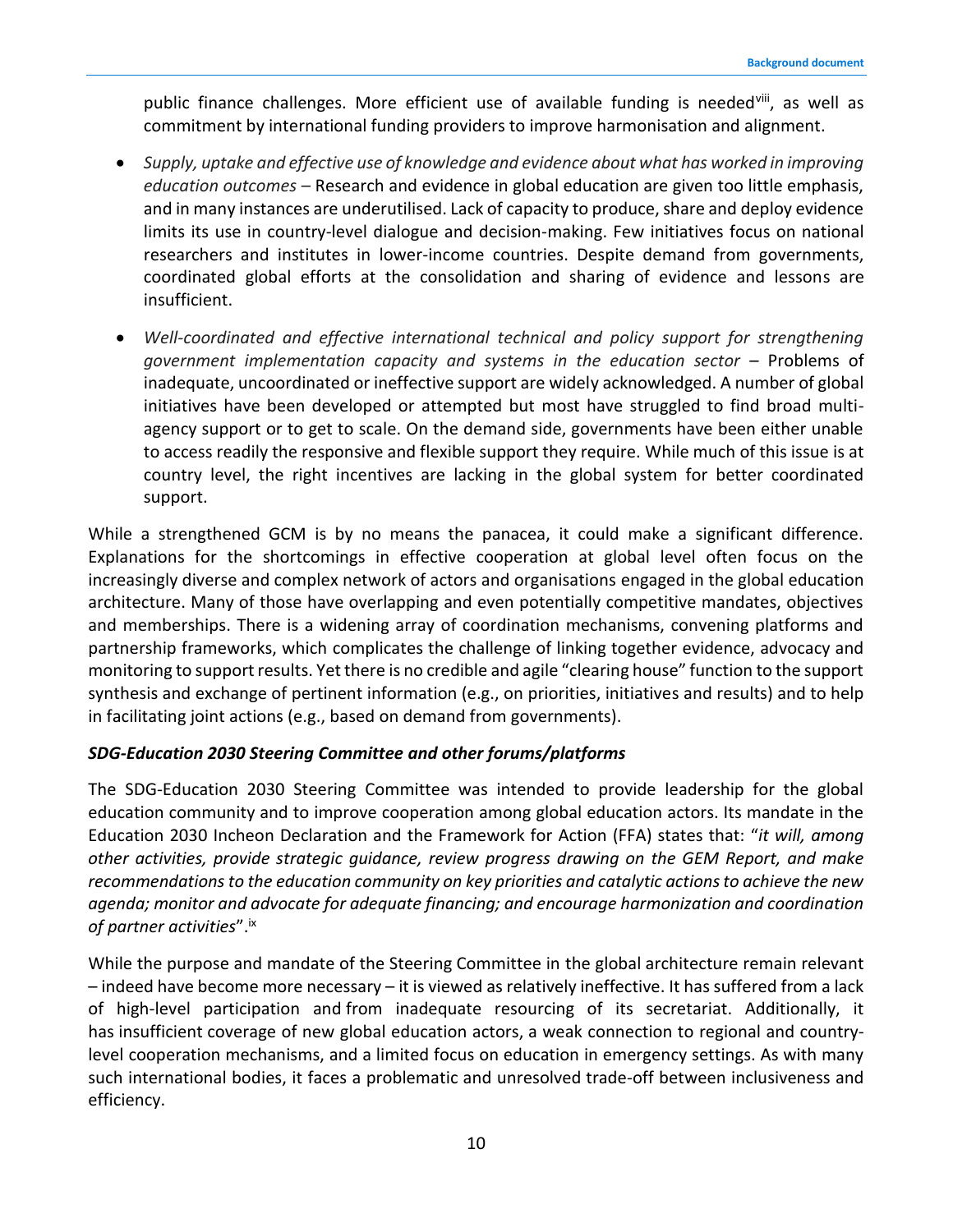public finance challenges. More efficient use of available funding is neededviii, as well as commitment by international funding providers to improve harmonisation and alignment.

- *Supply, uptake and effective use of knowledge and evidence about what has worked in improving education outcomes* – Research and evidence in global education are given too little emphasis, and in many instances are underutilised. Lack of capacity to produce, share and deploy evidence limits its use in country-level dialogue and decision-making. Few initiatives focus on national researchers and institutes in lower-income countries. Despite demand from governments, coordinated global efforts at the consolidation and sharing of evidence and lessons are insufficient.
- *Well-coordinated and effective international technical and policy support for strengthening government implementation capacity and systems in the education sector* – Problems of inadequate, uncoordinated or ineffective support are widely acknowledged. A number of global initiatives have been developed or attempted but most have struggled to find broad multiagency support or to get to scale. On the demand side, governments have been either unable to access readily the responsive and flexible support they require. While much of this issue is at country level, the right incentives are lacking in the global system for better coordinated support.

While a strengthened GCM is by no means the panacea, it could make a significant difference. Explanations for the shortcomings in effective cooperation at global level often focus on the increasingly diverse and complex network of actors and organisations engaged in the global education architecture. Many of those have overlapping and even potentially competitive mandates, objectives and memberships. There is a widening array of coordination mechanisms, convening platforms and partnership frameworks, which complicates the challenge of linking together evidence, advocacy and monitoring to support results. Yet there is no credible and agile "clearing house" function to the support synthesis and exchange of pertinent information (e.g., on priorities, initiatives and results) and to help in facilitating joint actions (e.g., based on demand from governments).

## *SDG-Education 2030 Steering Committee and other forums/platforms*

The SDG-Education 2030 Steering Committee was intended to provide leadership for the global education community and to improve cooperation among global education actors. Its mandate in the Education 2030 Incheon Declaration and the Framework for Action (FFA) states that: "*it will, among other activities, provide strategic guidance, review progress drawing on the GEM Report, and make recommendations to the education community on key priorities and catalytic actions to achieve the new agenda; monitor and advocate for adequate financing; and encourage harmonization and coordination of partner activities*".ix

While the purpose and mandate of the Steering Committee in the global architecture remain relevant – indeed have become more necessary – it is viewed as relatively ineffective. It has suffered from a lack of high-level participation and from inadequate resourcing of its secretariat. Additionally, it has insufficient coverage of new global education actors, a weak connection to regional and countrylevel cooperation mechanisms, and a limited focus on education in emergency settings. As with many such international bodies, it faces a problematic and unresolved trade-off between inclusiveness and efficiency.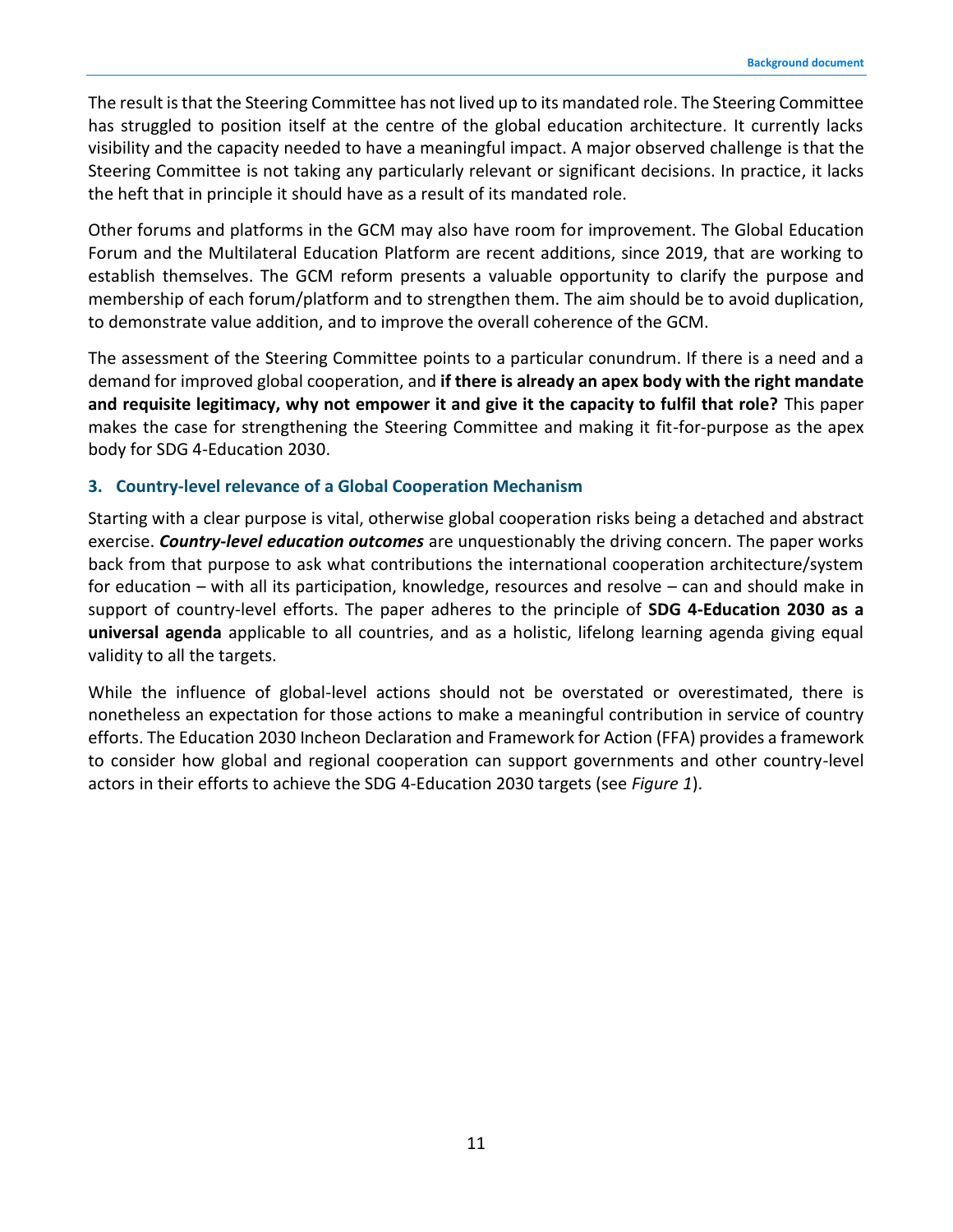The result is that the Steering Committee has not lived up to its mandated role. The Steering Committee has struggled to position itself at the centre of the global education architecture. It currently lacks visibility and the capacity needed to have a meaningful impact. A major observed challenge is that the Steering Committee is not taking any particularly relevant or significant decisions. In practice, it lacks the heft that in principle it should have as a result of its mandated role.

Other forums and platforms in the GCM may also have room for improvement. The Global Education Forum and the Multilateral Education Platform are recent additions, since 2019, that are working to establish themselves. The GCM reform presents a valuable opportunity to clarify the purpose and membership of each forum/platform and to strengthen them. The aim should be to avoid duplication, to demonstrate value addition, and to improve the overall coherence of the GCM.

The assessment of the Steering Committee points to a particular conundrum. If there is a need and a demand for improved global cooperation, and **if there is already an apex body with the right mandate and requisite legitimacy, why not empower it and give it the capacity to fulfil that role?** This paper makes the case for strengthening the Steering Committee and making it fit-for-purpose as the apex body for SDG 4-Education 2030.

#### **3. Country-level relevance of a Global Cooperation Mechanism**

Starting with a clear purpose is vital, otherwise global cooperation risks being a detached and abstract exercise. *Country-level education outcomes* are unquestionably the driving concern. The paper works back from that purpose to ask what contributions the international cooperation architecture/system for education – with all its participation, knowledge, resources and resolve – can and should make in support of country-level efforts. The paper adheres to the principle of **SDG 4-Education 2030 as a universal agenda** applicable to all countries, and as a holistic, lifelong learning agenda giving equal validity to all the targets.

While the influence of global-level actions should not be overstated or overestimated, there is nonetheless an expectation for those actions to make a meaningful contribution in service of country efforts. The Education 2030 Incheon Declaration and Framework for Action (FFA) provides a framework to consider how global and regional cooperation can support governments and other country-level actors in their efforts to achieve the SDG 4-Education 2030 targets (see *Figure 1*).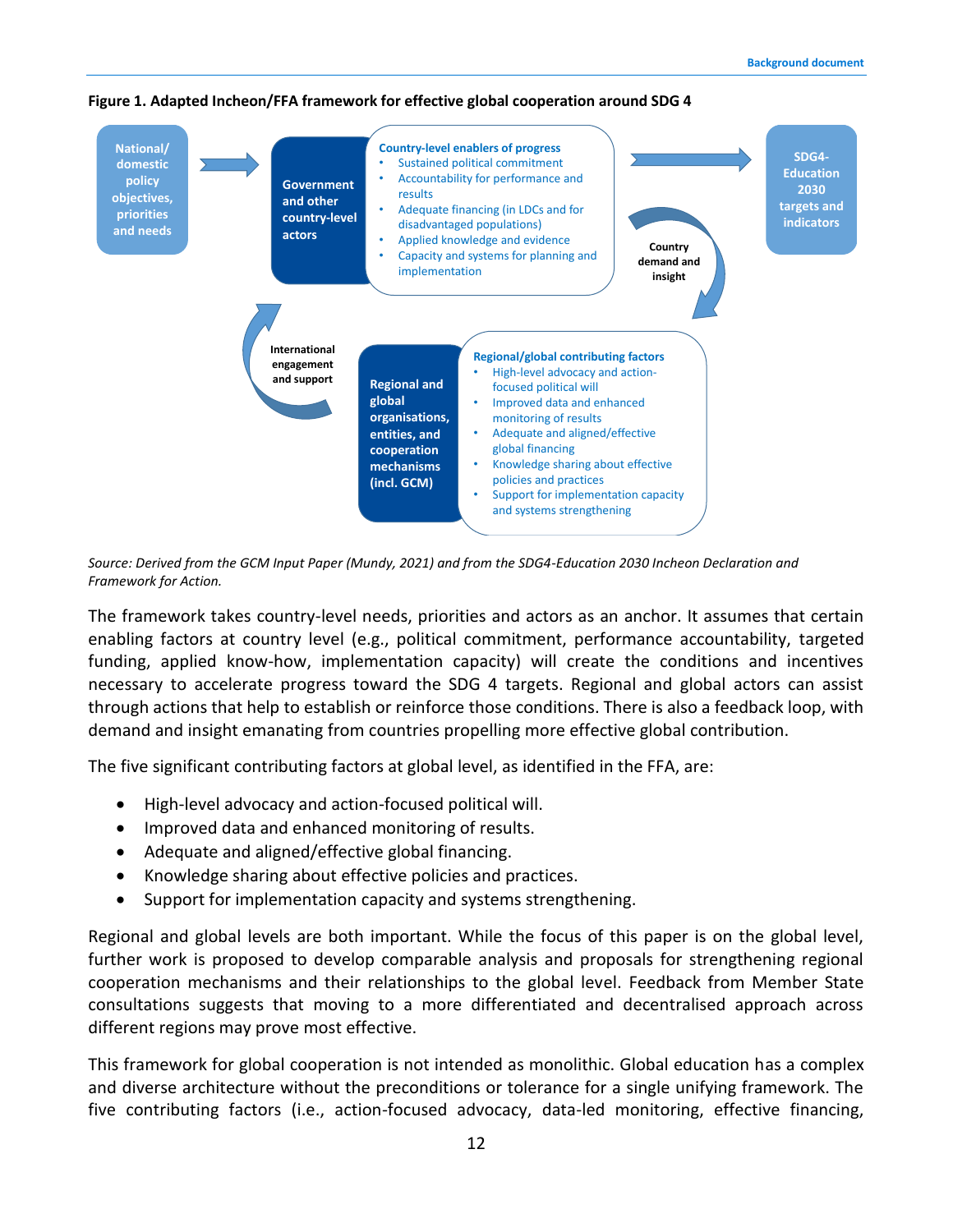

#### **Figure 1. Adapted Incheon/FFA framework for effective global cooperation around SDG 4**

*Source: Derived from the GCM Input Paper (Mundy, 2021) and from the SDG4-Education 2030 Incheon Declaration and Framework for Action.*

The framework takes country-level needs, priorities and actors as an anchor. It assumes that certain enabling factors at country level (e.g., political commitment, performance accountability, targeted funding, applied know-how, implementation capacity) will create the conditions and incentives necessary to accelerate progress toward the SDG 4 targets. Regional and global actors can assist through actions that help to establish or reinforce those conditions. There is also a feedback loop, with demand and insight emanating from countries propelling more effective global contribution.

The five significant contributing factors at global level, as identified in the FFA, are:

- High-level advocacy and action-focused political will.
- Improved data and enhanced monitoring of results.
- Adequate and aligned/effective global financing.
- Knowledge sharing about effective policies and practices.
- Support for implementation capacity and systems strengthening.

Regional and global levels are both important. While the focus of this paper is on the global level, further work is proposed to develop comparable analysis and proposals for strengthening regional cooperation mechanisms and their relationships to the global level. Feedback from Member State consultations suggests that moving to a more differentiated and decentralised approach across different regions may prove most effective.

This framework for global cooperation is not intended as monolithic. Global education has a complex and diverse architecture without the preconditions or tolerance for a single unifying framework. The five contributing factors (i.e., action-focused advocacy, data-led monitoring, effective financing,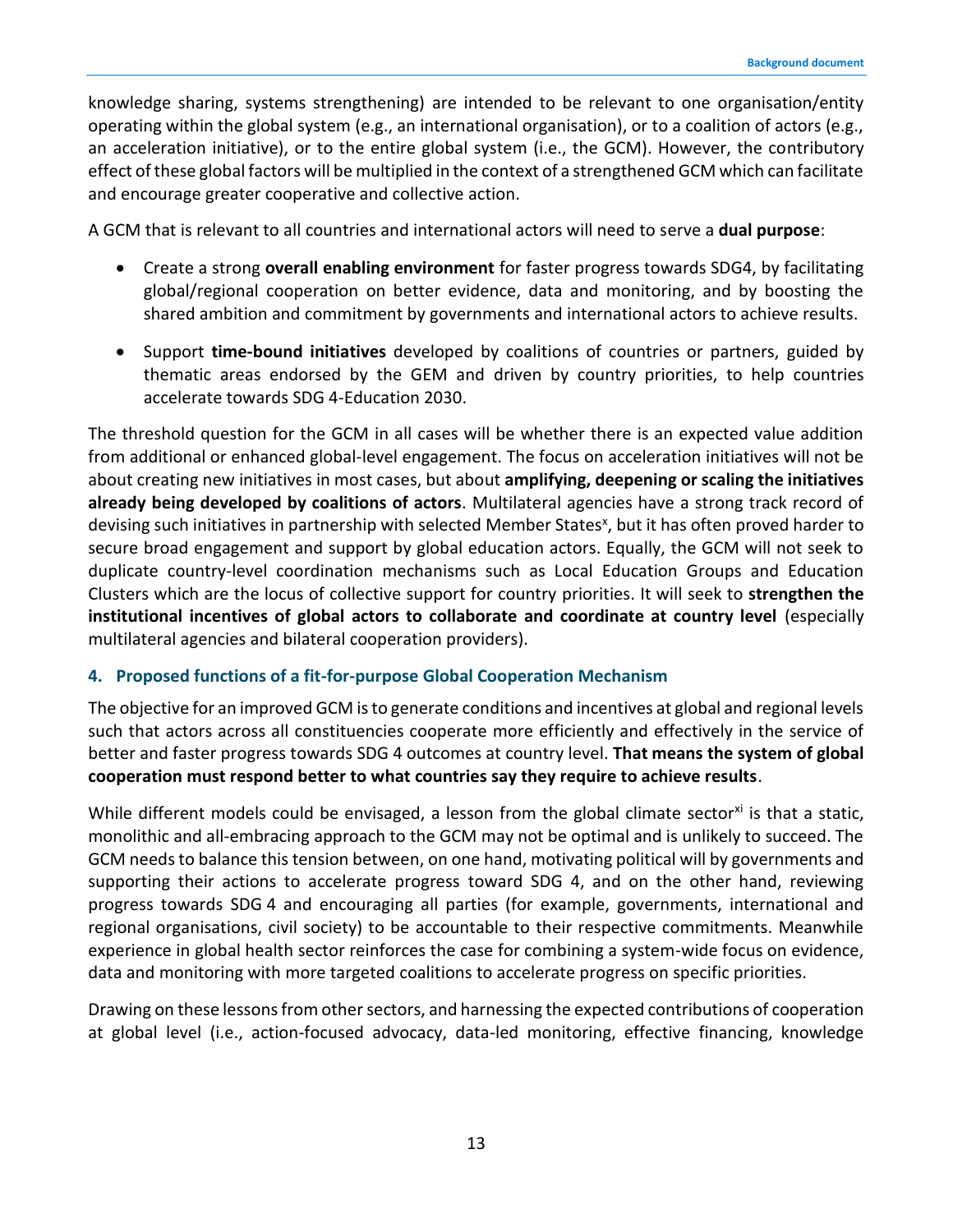knowledge sharing, systems strengthening) are intended to be relevant to one organisation/entity operating within the global system (e.g., an international organisation), or to a coalition of actors (e.g., an acceleration initiative), or to the entire global system (i.e., the GCM). However, the contributory effect of these global factors will be multiplied in the context of a strengthened GCM which can facilitate and encourage greater cooperative and collective action.

A GCM that is relevant to all countries and international actors will need to serve a **dual purpose**:

- Create a strong **overall enabling environment** for faster progress towards SDG4, by facilitating global/regional cooperation on better evidence, data and monitoring, and by boosting the shared ambition and commitment by governments and international actors to achieve results.
- Support **time-bound initiatives** developed by coalitions of countries or partners, guided by thematic areas endorsed by the GEM and driven by country priorities, to help countries accelerate towards SDG 4-Education 2030.

The threshold question for the GCM in all cases will be whether there is an expected value addition from additional or enhanced global-level engagement. The focus on acceleration initiatives will not be about creating new initiatives in most cases, but about **amplifying, deepening or scaling the initiatives already being developed by coalitions of actors**. Multilateral agencies have a strong track record of devising such initiatives in partnership with selected Member States<sup>x</sup>, but it has often proved harder to secure broad engagement and support by global education actors. Equally, the GCM will not seek to duplicate country-level coordination mechanisms such as Local Education Groups and Education Clusters which are the locus of collective support for country priorities. It will seek to **strengthen the institutional incentives of global actors to collaborate and coordinate at country level** (especially multilateral agencies and bilateral cooperation providers).

#### **4. Proposed functions of a fit-for-purpose Global Cooperation Mechanism**

The objective for an improved GCM is to generate conditions and incentives at global and regional levels such that actors across all constituencies cooperate more efficiently and effectively in the service of better and faster progress towards SDG 4 outcomes at country level. **That means the system of global cooperation must respond better to what countries say they require to achieve results**.

While different models could be envisaged, a lesson from the global climate sector<sup>xi</sup> is that a static, monolithic and all-embracing approach to the GCM may not be optimal and is unlikely to succeed. The GCM needs to balance this tension between, on one hand, motivating political will by governments and supporting their actions to accelerate progress toward SDG 4, and on the other hand, reviewing progress towards SDG 4 and encouraging all parties (for example, governments, international and regional organisations, civil society) to be accountable to their respective commitments. Meanwhile experience in global health sector reinforces the case for combining a system-wide focus on evidence, data and monitoring with more targeted coalitions to accelerate progress on specific priorities.

Drawing on these lessons from other sectors, and harnessing the expected contributions of cooperation at global level (i.e., action-focused advocacy, data-led monitoring, effective financing, knowledge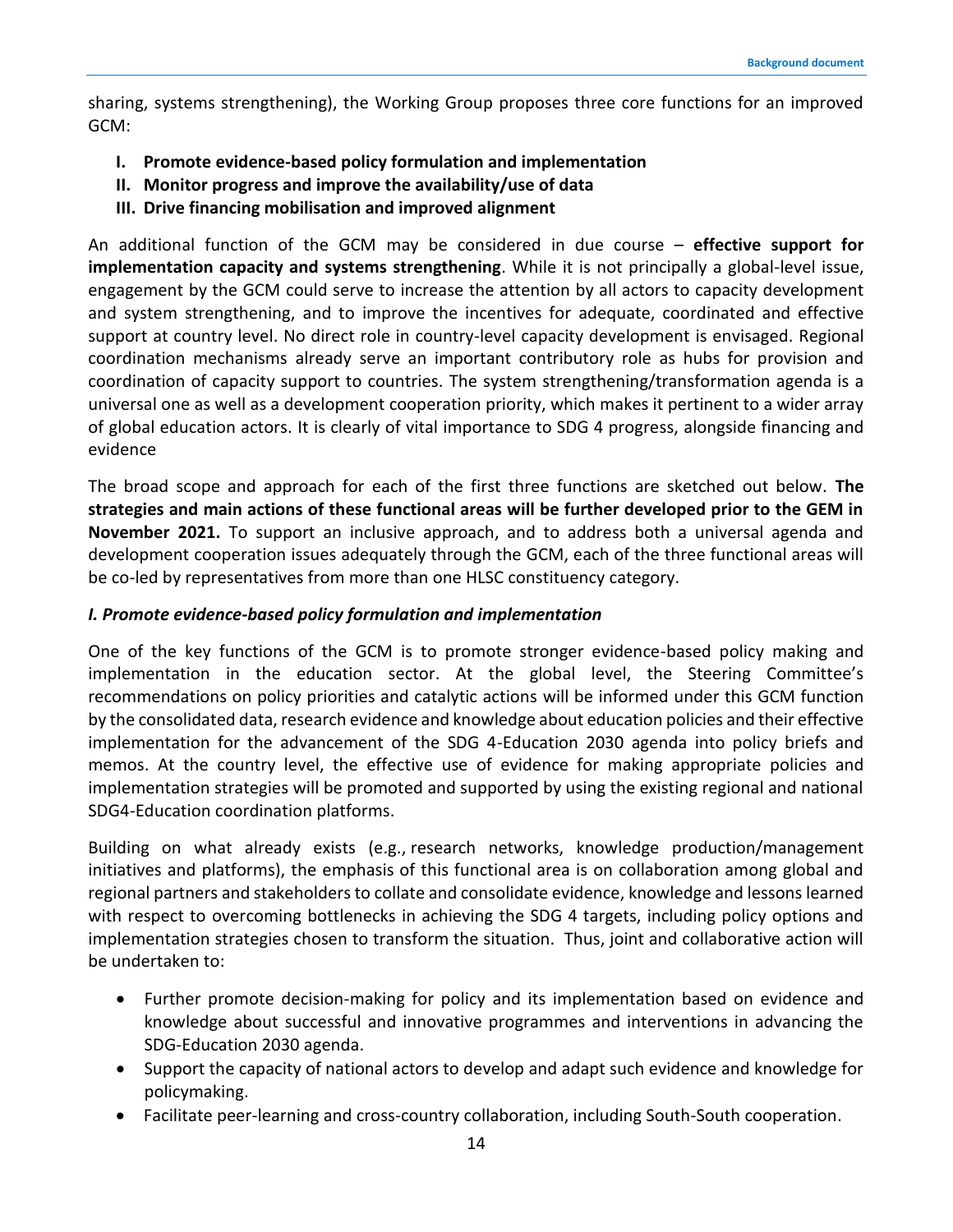sharing, systems strengthening), the Working Group proposes three core functions for an improved GCM:

- **I. Promote evidence-based policy formulation and implementation**
- **II. Monitor progress and improve the availability/use of data**
- **III. Drive financing mobilisation and improved alignment**

An additional function of the GCM may be considered in due course – **effective support for implementation capacity and systems strengthening**. While it is not principally a global-level issue, engagement by the GCM could serve to increase the attention by all actors to capacity development and system strengthening, and to improve the incentives for adequate, coordinated and effective support at country level. No direct role in country-level capacity development is envisaged. Regional coordination mechanisms already serve an important contributory role as hubs for provision and coordination of capacity support to countries. The system strengthening/transformation agenda is a universal one as well as a development cooperation priority, which makes it pertinent to a wider array of global education actors. It is clearly of vital importance to SDG 4 progress, alongside financing and evidence

The broad scope and approach for each of the first three functions are sketched out below. **The strategies and main actions of these functional areas will be further developed prior to the GEM in November 2021.** To support an inclusive approach, and to address both a universal agenda and development cooperation issues adequately through the GCM, each of the three functional areas will be co-led by representatives from more than one HLSC constituency category.

#### *I. Promote evidence-based policy formulation and implementation*

One of the key functions of the GCM is to promote stronger evidence-based policy making and implementation in the education sector. At the global level, the Steering Committee's recommendations on policy priorities and catalytic actions will be informed under this GCM function by the consolidated data, research evidence and knowledge about education policies and their effective implementation for the advancement of the SDG 4-Education 2030 agenda into policy briefs and memos. At the country level, the effective use of evidence for making appropriate policies and implementation strategies will be promoted and supported by using the existing regional and national SDG4-Education coordination platforms.

Building on what already exists (e.g., research networks, knowledge production/management initiatives and platforms), the emphasis of this functional area is on collaboration among global and regional partners and stakeholders to collate and consolidate evidence, knowledge and lessons learned with respect to overcoming bottlenecks in achieving the SDG 4 targets, including policy options and implementation strategies chosen to transform the situation. Thus, joint and collaborative action will be undertaken to:

- Further promote decision-making for policy and its implementation based on evidence and knowledge about successful and innovative programmes and interventions in advancing the SDG-Education 2030 agenda.
- Support the capacity of national actors to develop and adapt such evidence and knowledge for policymaking.
- Facilitate peer-learning and cross-country collaboration, including South-South cooperation.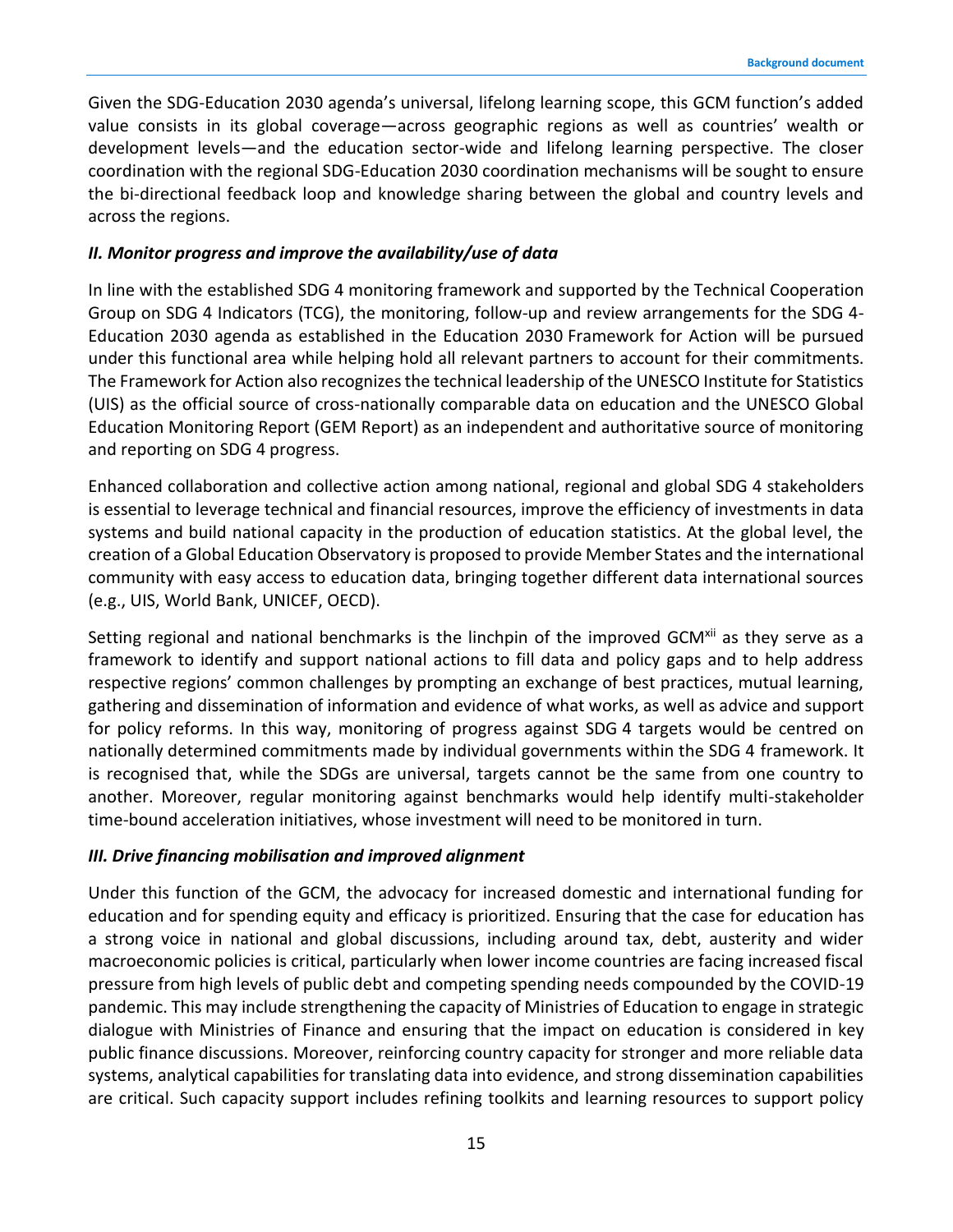Given the SDG-Education 2030 agenda's universal, lifelong learning scope, this GCM function's added value consists in its global coverage—across geographic regions as well as countries' wealth or development levels—and the education sector-wide and lifelong learning perspective. The closer coordination with the regional SDG-Education 2030 coordination mechanisms will be sought to ensure the bi-directional feedback loop and knowledge sharing between the global and country levels and across the regions.

#### *II. Monitor progress and improve the availability/use of data*

In line with the established SDG 4 monitoring framework and supported by the Technical Cooperation Group on SDG 4 Indicators (TCG), the monitoring, follow-up and review arrangements for the SDG 4- Education 2030 agenda as established in the Education 2030 Framework for Action will be pursued under this functional area while helping hold all relevant partners to account for their commitments. The Framework for Action also recognizes the technical leadership of the UNESCO Institute for Statistics (UIS) as the official source of cross-nationally comparable data on education and the UNESCO Global Education Monitoring Report (GEM Report) as an independent and authoritative source of monitoring and reporting on SDG 4 progress.

Enhanced collaboration and collective action among national, regional and global SDG 4 stakeholders is essential to leverage technical and financial resources, improve the efficiency of investments in data systems and build national capacity in the production of education statistics. At the global level, the creation of a Global Education Observatory is proposed to provide Member States and the international community with easy access to education data, bringing together different data international sources (e.g., UIS, World Bank, UNICEF, OECD).

Setting regional and national benchmarks is the linchpin of the improved GCM<sup>xii</sup> as they serve as a framework to identify and support national actions to fill data and policy gaps and to help address respective regions' common challenges by prompting an exchange of best practices, mutual learning, gathering and dissemination of information and evidence of what works, as well as advice and support for policy reforms. In this way, monitoring of progress against SDG 4 targets would be centred on nationally determined commitments made by individual governments within the SDG 4 framework. It is recognised that, while the SDGs are universal, targets cannot be the same from one country to another. Moreover, regular monitoring against benchmarks would help identify multi-stakeholder time-bound acceleration initiatives, whose investment will need to be monitored in turn.

#### *III. Drive financing mobilisation and improved alignment*

Under this function of the GCM, the advocacy for increased domestic and international funding for education and for spending equity and efficacy is prioritized. Ensuring that the case for education has a strong voice in national and global discussions, including around tax, debt, austerity and wider macroeconomic policies is critical, particularly when lower income countries are facing increased fiscal pressure from high levels of public debt and competing spending needs compounded by the COVID-19 pandemic. This may include strengthening the capacity of Ministries of Education to engage in strategic dialogue with Ministries of Finance and ensuring that the impact on education is considered in key public finance discussions. Moreover, reinforcing country capacity for stronger and more reliable data systems, analytical capabilities for translating data into evidence, and strong dissemination capabilities are critical. Such capacity support includes refining toolkits and learning resources to support policy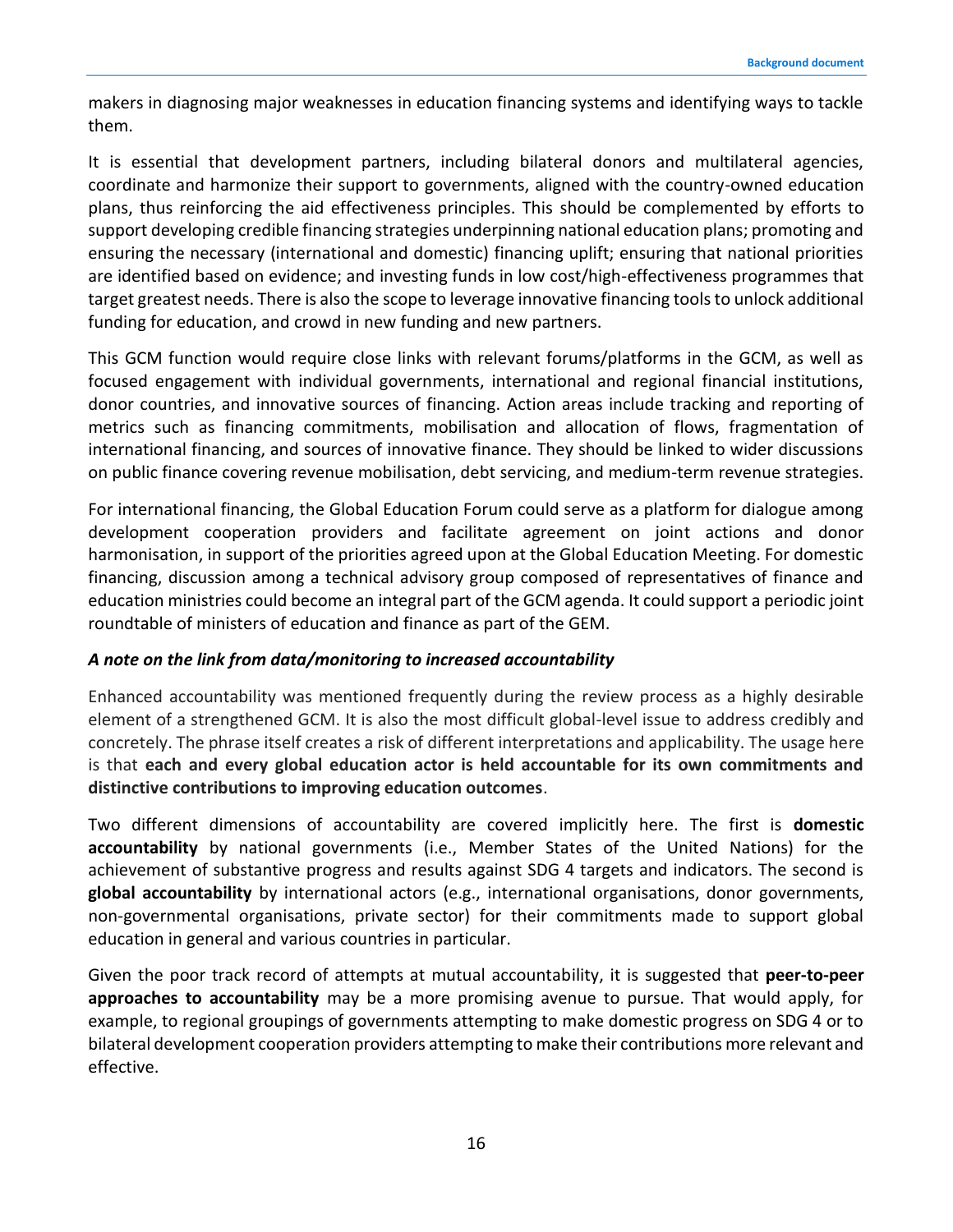makers in diagnosing major weaknesses in education financing systems and identifying ways to tackle them.

It is essential that development partners, including bilateral donors and multilateral agencies, coordinate and harmonize their support to governments, aligned with the country-owned education plans, thus reinforcing the aid effectiveness principles. This should be complemented by efforts to support developing credible financing strategies underpinning national education plans; promoting and ensuring the necessary (international and domestic) financing uplift; ensuring that national priorities are identified based on evidence; and investing funds in low cost/high-effectiveness programmes that target greatest needs. There is also the scope to leverage innovative financing tools to unlock additional funding for education, and crowd in new funding and new partners.

This GCM function would require close links with relevant forums/platforms in the GCM, as well as focused engagement with individual governments, international and regional financial institutions, donor countries, and innovative sources of financing. Action areas include tracking and reporting of metrics such as financing commitments, mobilisation and allocation of flows, fragmentation of international financing, and sources of innovative finance. They should be linked to wider discussions on public finance covering revenue mobilisation, debt servicing, and medium-term revenue strategies.

For international financing, the Global Education Forum could serve as a platform for dialogue among development cooperation providers and facilitate agreement on joint actions and donor harmonisation, in support of the priorities agreed upon at the Global Education Meeting. For domestic financing, discussion among a technical advisory group composed of representatives of finance and education ministries could become an integral part of the GCM agenda. It could support a periodic joint roundtable of ministers of education and finance as part of the GEM.

#### *A note on the link from data/monitoring to increased accountability*

Enhanced accountability was mentioned frequently during the review process as a highly desirable element of a strengthened GCM. It is also the most difficult global-level issue to address credibly and concretely. The phrase itself creates a risk of different interpretations and applicability. The usage here is that **each and every global education actor is held accountable for its own commitments and distinctive contributions to improving education outcomes**.

Two different dimensions of accountability are covered implicitly here. The first is **domestic accountability** by national governments (i.e., Member States of the United Nations) for the achievement of substantive progress and results against SDG 4 targets and indicators. The second is **global accountability** by international actors (e.g., international organisations, donor governments, non-governmental organisations, private sector) for their commitments made to support global education in general and various countries in particular.

Given the poor track record of attempts at mutual accountability, it is suggested that **peer-to-peer approaches to accountability** may be a more promising avenue to pursue. That would apply, for example, to regional groupings of governments attempting to make domestic progress on SDG 4 or to bilateral development cooperation providers attempting to make their contributions more relevant and effective.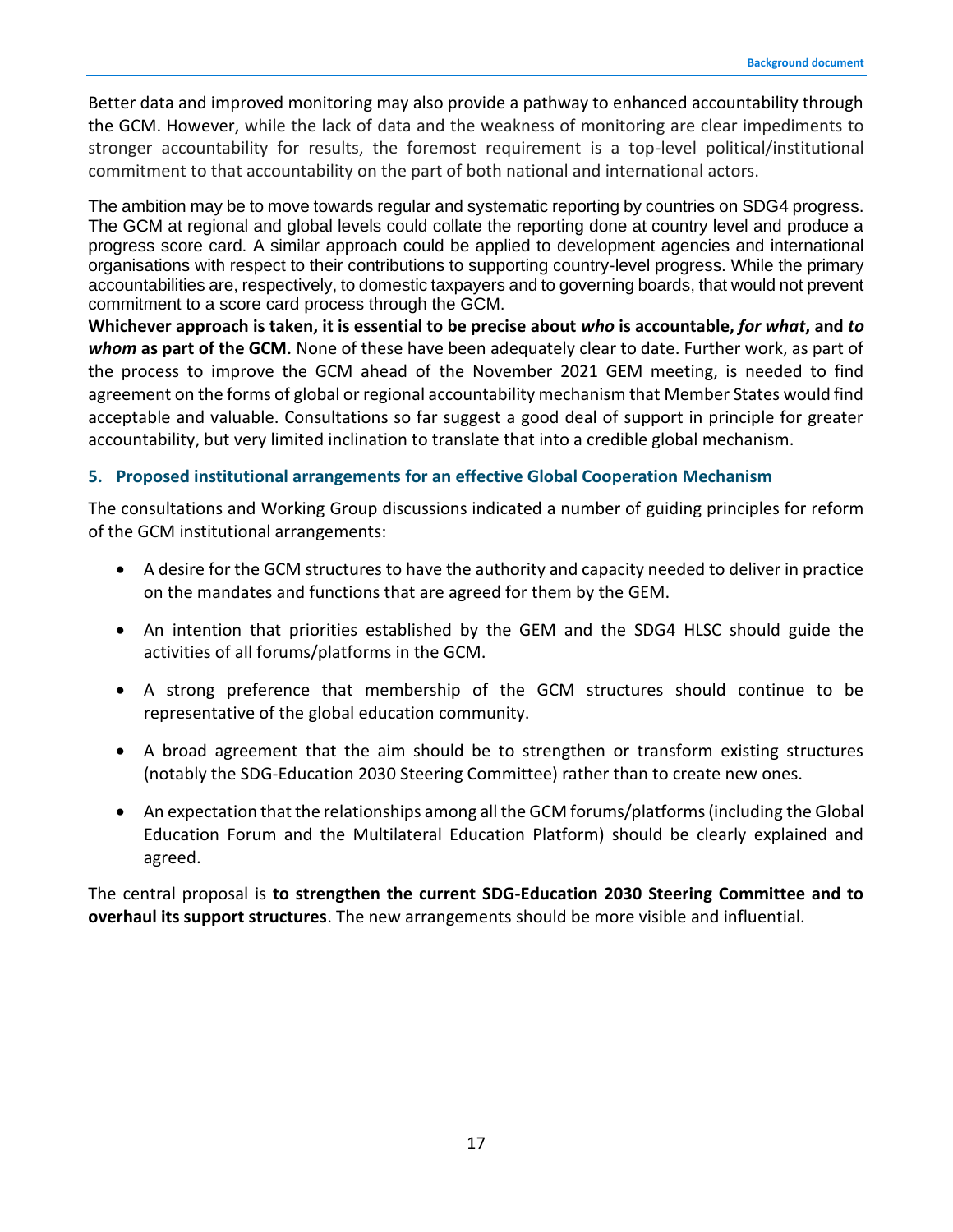Better data and improved monitoring may also provide a pathway to enhanced accountability through the GCM. However, while the lack of data and the weakness of monitoring are clear impediments to stronger accountability for results, the foremost requirement is a top-level political/institutional commitment to that accountability on the part of both national and international actors.

The ambition may be to move towards regular and systematic reporting by countries on SDG4 progress. The GCM at regional and global levels could collate the reporting done at country level and produce a progress score card. A similar approach could be applied to development agencies and international organisations with respect to their contributions to supporting country-level progress. While the primary accountabilities are, respectively, to domestic taxpayers and to governing boards, that would not prevent commitment to a score card process through the GCM.

**Whichever approach is taken, it is essential to be precise about** *who* **is accountable,** *for what***, and** *to whom* **as part of the GCM.** None of these have been adequately clear to date. Further work, as part of the process to improve the GCM ahead of the November 2021 GEM meeting, is needed to find agreement on the forms of global or regional accountability mechanism that Member States would find acceptable and valuable. Consultations so far suggest a good deal of support in principle for greater accountability, but very limited inclination to translate that into a credible global mechanism.

### **5. Proposed institutional arrangements for an effective Global Cooperation Mechanism**

The consultations and Working Group discussions indicated a number of guiding principles for reform of the GCM institutional arrangements:

- A desire for the GCM structures to have the authority and capacity needed to deliver in practice on the mandates and functions that are agreed for them by the GEM.
- An intention that priorities established by the GEM and the SDG4 HLSC should guide the activities of all forums/platforms in the GCM.
- A strong preference that membership of the GCM structures should continue to be representative of the global education community.
- A broad agreement that the aim should be to strengthen or transform existing structures (notably the SDG-Education 2030 Steering Committee) rather than to create new ones.
- An expectation that the relationships among all the GCM forums/platforms (including the Global Education Forum and the Multilateral Education Platform) should be clearly explained and agreed.

The central proposal is **to strengthen the current SDG-Education 2030 Steering Committee and to overhaul its support structures**. The new arrangements should be more visible and influential.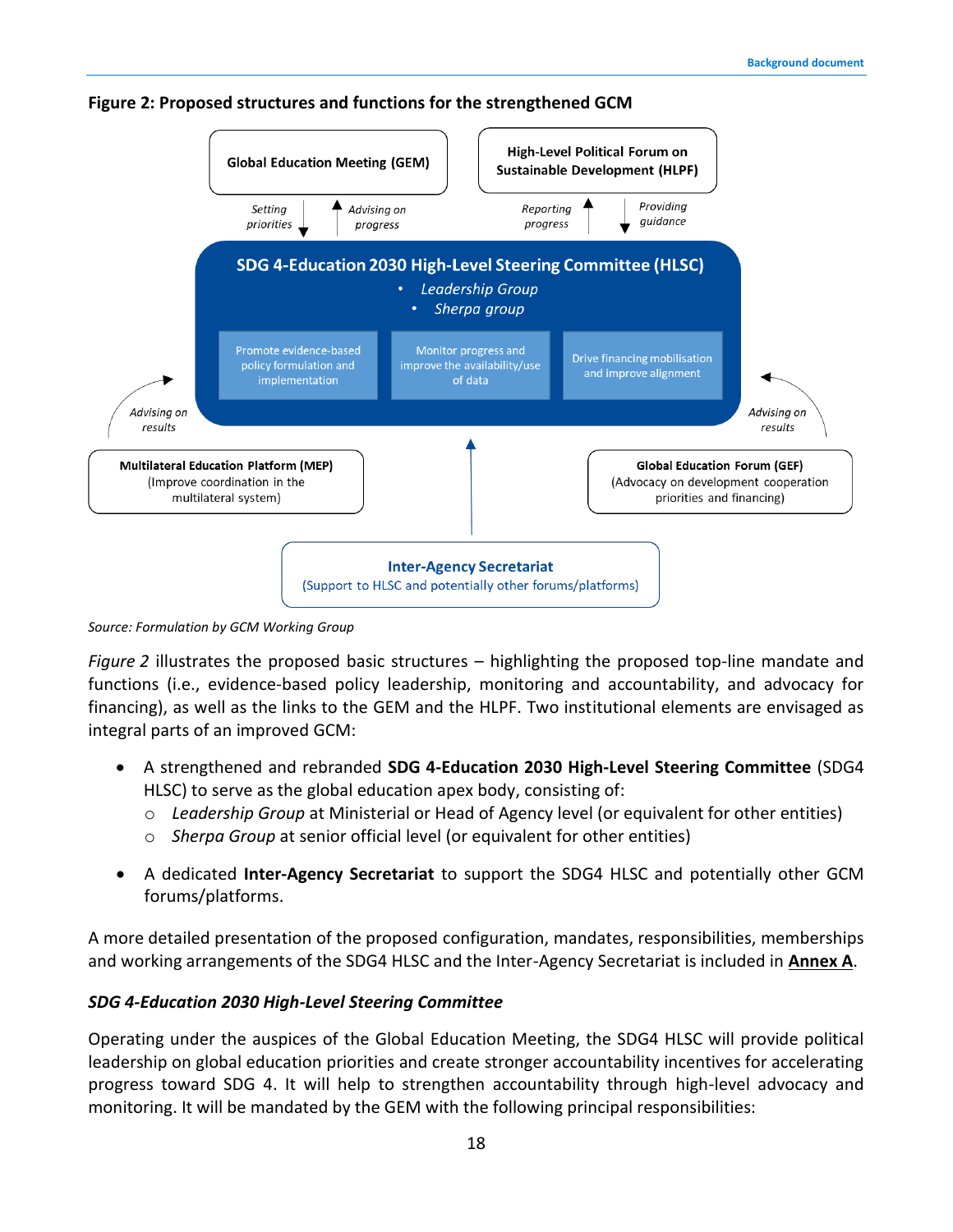

**Figure 2: Proposed structures and functions for the strengthened GCM**

*Source: Formulation by GCM Working Group*

*Figure 2* illustrates the proposed basic structures – highlighting the proposed top-line mandate and functions (i.e., evidence-based policy leadership, monitoring and accountability, and advocacy for financing), as well as the links to the GEM and the HLPF. Two institutional elements are envisaged as integral parts of an improved GCM:

- A strengthened and rebranded **SDG 4-Education 2030 High-Level Steering Committee** (SDG4 HLSC) to serve as the global education apex body, consisting of:
	- o *Leadership Group* at Ministerial or Head of Agency level (or equivalent for other entities)
	- o *Sherpa Group* at senior official level (or equivalent for other entities)
- A dedicated **Inter-Agency Secretariat** to support the SDG4 HLSC and potentially other GCM forums/platforms.

A more detailed presentation of the proposed configuration, mandates, responsibilities, memberships and working arrangements of the SDG4 HLSC and the Inter-Agency Secretariat is included in **Annex A**.

## *SDG 4-Education 2030 High-Level Steering Committee*

Operating under the auspices of the Global Education Meeting, the SDG4 HLSC will provide political leadership on global education priorities and create stronger accountability incentives for accelerating progress toward SDG 4. It will help to strengthen accountability through high-level advocacy and monitoring. It will be mandated by the GEM with the following principal responsibilities: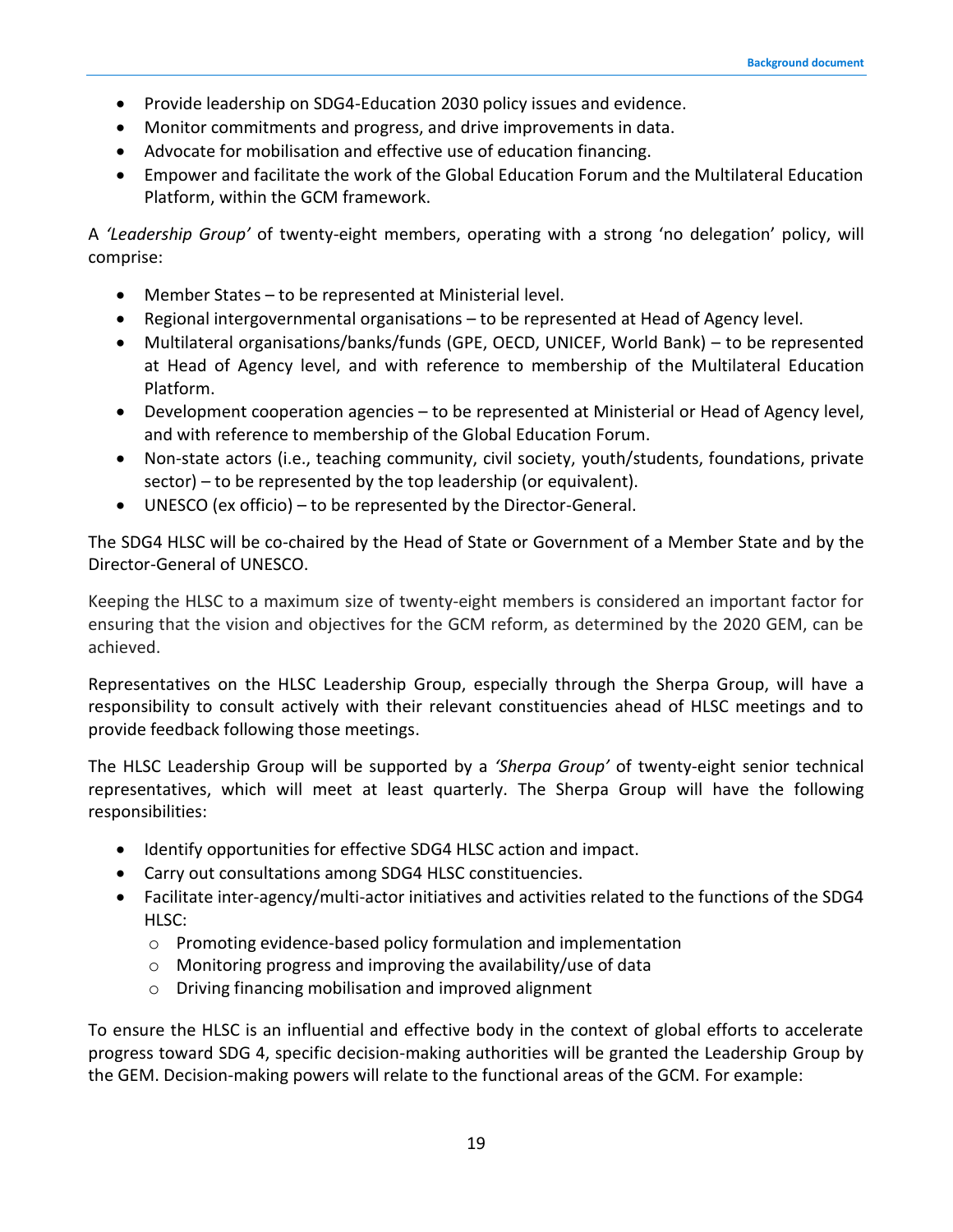- Provide leadership on SDG4-Education 2030 policy issues and evidence.
- Monitor commitments and progress, and drive improvements in data.
- Advocate for mobilisation and effective use of education financing.
- Empower and facilitate the work of the Global Education Forum and the Multilateral Education Platform, within the GCM framework.

A *'Leadership Group'* of twenty-eight members, operating with a strong 'no delegation' policy, will comprise:

- Member States to be represented at Ministerial level.
- Regional intergovernmental organisations to be represented at Head of Agency level.
- Multilateral organisations/banks/funds (GPE, OECD, UNICEF, World Bank) to be represented at Head of Agency level, and with reference to membership of the Multilateral Education Platform.
- Development cooperation agencies to be represented at Ministerial or Head of Agency level, and with reference to membership of the Global Education Forum.
- Non-state actors (i.e., teaching community, civil society, youth/students, foundations, private sector) – to be represented by the top leadership (or equivalent).
- UNESCO (ex officio) to be represented by the Director-General.

The SDG4 HLSC will be co-chaired by the Head of State or Government of a Member State and by the Director-General of UNESCO.

Keeping the HLSC to a maximum size of twenty-eight members is considered an important factor for ensuring that the vision and objectives for the GCM reform, as determined by the 2020 GEM, can be achieved.

Representatives on the HLSC Leadership Group, especially through the Sherpa Group, will have a responsibility to consult actively with their relevant constituencies ahead of HLSC meetings and to provide feedback following those meetings.

The HLSC Leadership Group will be supported by a *'Sherpa Group'* of twenty-eight senior technical representatives, which will meet at least quarterly. The Sherpa Group will have the following responsibilities:

- Identify opportunities for effective SDG4 HLSC action and impact.
- Carry out consultations among SDG4 HLSC constituencies.
- Facilitate inter-agency/multi-actor initiatives and activities related to the functions of the SDG4 HLSC:
	- o Promoting evidence-based policy formulation and implementation
	- o Monitoring progress and improving the availability/use of data
	- o Driving financing mobilisation and improved alignment

To ensure the HLSC is an influential and effective body in the context of global efforts to accelerate progress toward SDG 4, specific decision-making authorities will be granted the Leadership Group by the GEM. Decision-making powers will relate to the functional areas of the GCM. For example: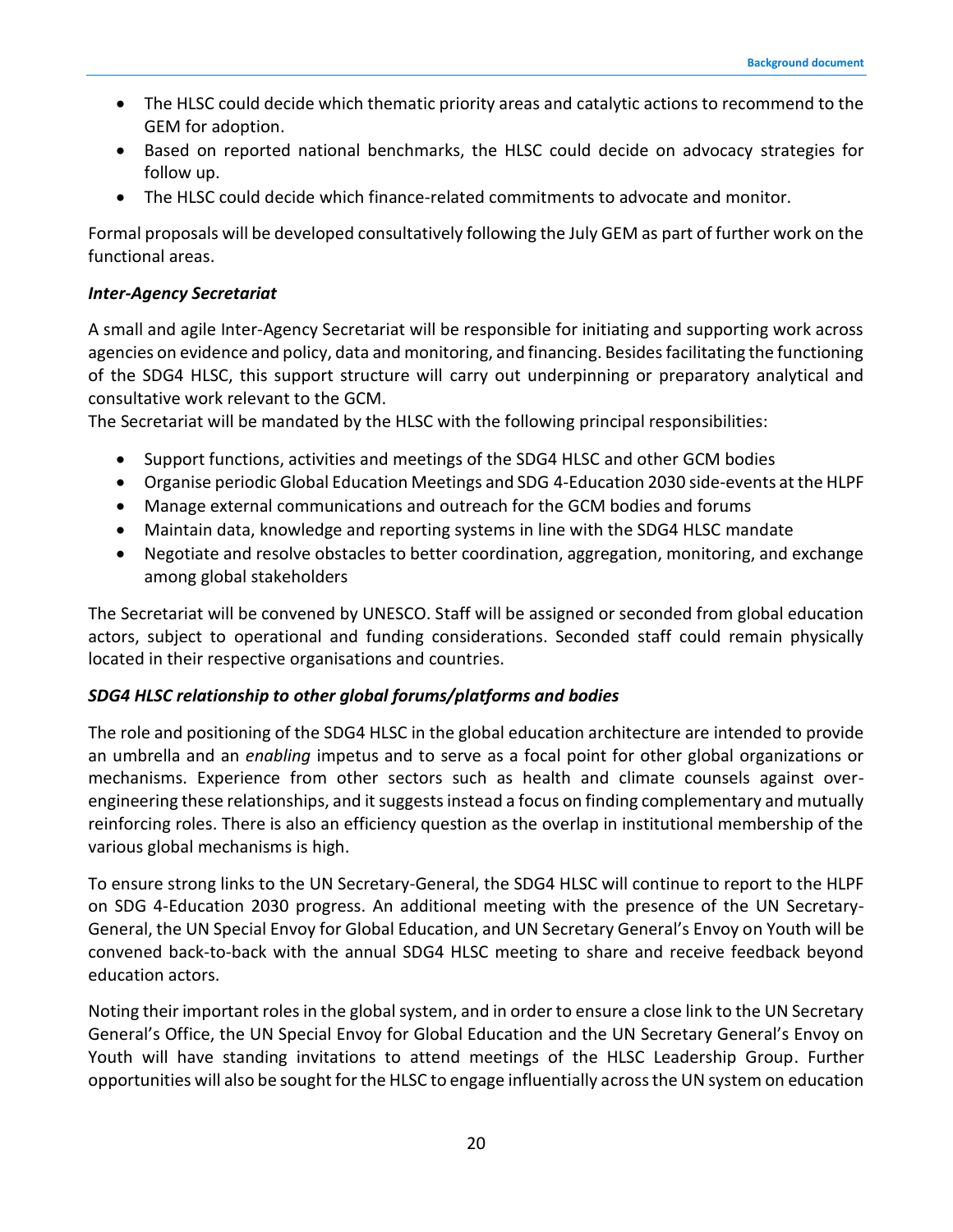- The HLSC could decide which thematic priority areas and catalytic actions to recommend to the GEM for adoption.
- Based on reported national benchmarks, the HLSC could decide on advocacy strategies for follow up.
- The HLSC could decide which finance-related commitments to advocate and monitor.

Formal proposals will be developed consultatively following the July GEM as part of further work on the functional areas.

### *Inter-Agency Secretariat*

A small and agile Inter-Agency Secretariat will be responsible for initiating and supporting work across agencies on evidence and policy, data and monitoring, and financing. Besides facilitating the functioning of the SDG4 HLSC, this support structure will carry out underpinning or preparatory analytical and consultative work relevant to the GCM.

The Secretariat will be mandated by the HLSC with the following principal responsibilities:

- Support functions, activities and meetings of the SDG4 HLSC and other GCM bodies
- Organise periodic Global Education Meetings and SDG 4-Education 2030 side-events at the HLPF
- Manage external communications and outreach for the GCM bodies and forums
- Maintain data, knowledge and reporting systems in line with the SDG4 HLSC mandate
- Negotiate and resolve obstacles to better coordination, aggregation, monitoring, and exchange among global stakeholders

The Secretariat will be convened by UNESCO. Staff will be assigned or seconded from global education actors, subject to operational and funding considerations. Seconded staff could remain physically located in their respective organisations and countries.

## *SDG4 HLSC relationship to other global forums/platforms and bodies*

The role and positioning of the SDG4 HLSC in the global education architecture are intended to provide an umbrella and an *enabling* impetus and to serve as a focal point for other global organizations or mechanisms. Experience from other sectors such as health and climate counsels against overengineering these relationships, and it suggests instead a focus on finding complementary and mutually reinforcing roles. There is also an efficiency question as the overlap in institutional membership of the various global mechanisms is high.

To ensure strong links to the UN Secretary-General, the SDG4 HLSC will continue to report to the HLPF on SDG 4-Education 2030 progress. An additional meeting with the presence of the UN Secretary-General, the UN Special Envoy for Global Education, and UN Secretary General's Envoy on Youth will be convened back-to-back with the annual SDG4 HLSC meeting to share and receive feedback beyond education actors.

Noting their important roles in the global system, and in order to ensure a close link to the UN Secretary General's Office, the UN Special Envoy for Global Education and the UN Secretary General's Envoy on Youth will have standing invitations to attend meetings of the HLSC Leadership Group. Further opportunities will also be sought for the HLSC to engage influentially across the UN system on education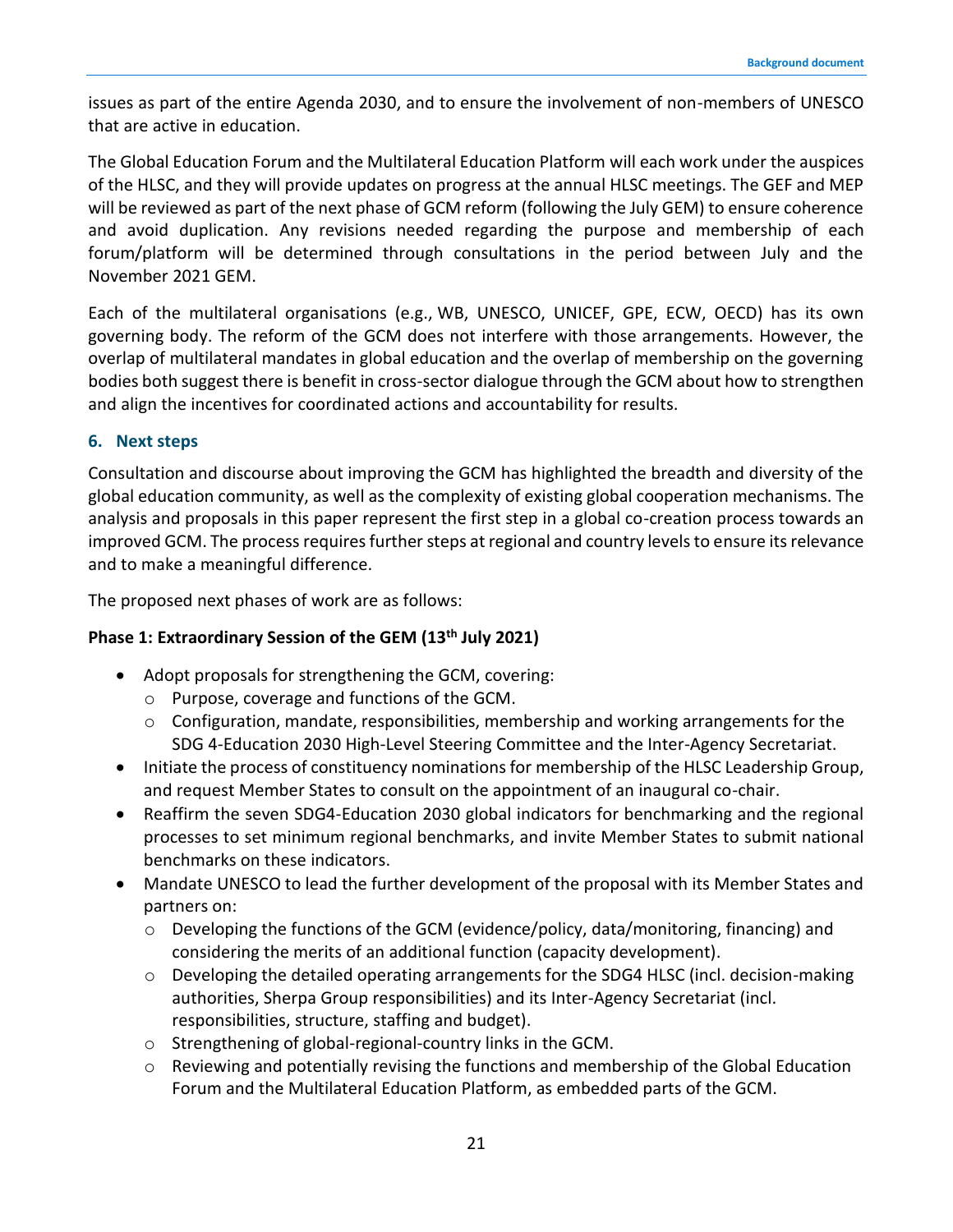issues as part of the entire Agenda 2030, and to ensure the involvement of non-members of UNESCO that are active in education.

The Global Education Forum and the Multilateral Education Platform will each work under the auspices of the HLSC, and they will provide updates on progress at the annual HLSC meetings. The GEF and MEP will be reviewed as part of the next phase of GCM reform (following the July GEM) to ensure coherence and avoid duplication. Any revisions needed regarding the purpose and membership of each forum/platform will be determined through consultations in the period between July and the November 2021 GEM.

Each of the multilateral organisations (e.g., WB, UNESCO, UNICEF, GPE, ECW, OECD) has its own governing body. The reform of the GCM does not interfere with those arrangements. However, the overlap of multilateral mandates in global education and the overlap of membership on the governing bodies both suggest there is benefit in cross-sector dialogue through the GCM about how to strengthen and align the incentives for coordinated actions and accountability for results.

## **6. Next steps**

Consultation and discourse about improving the GCM has highlighted the breadth and diversity of the global education community, as well as the complexity of existing global cooperation mechanisms. The analysis and proposals in this paper represent the first step in a global co-creation process towards an improved GCM. The process requires further steps at regional and country levels to ensure its relevance and to make a meaningful difference.

The proposed next phases of work are as follows:

## **Phase 1: Extraordinary Session of the GEM (13th July 2021)**

- Adopt proposals for strengthening the GCM, covering:
	- o Purpose, coverage and functions of the GCM.
	- $\circ$  Configuration, mandate, responsibilities, membership and working arrangements for the SDG 4-Education 2030 High-Level Steering Committee and the Inter-Agency Secretariat.
- Initiate the process of constituency nominations for membership of the HLSC Leadership Group, and request Member States to consult on the appointment of an inaugural co-chair.
- Reaffirm the seven SDG4-Education 2030 global indicators for benchmarking and the regional processes to set minimum regional benchmarks, and invite Member States to submit national benchmarks on these indicators.
- Mandate UNESCO to lead the further development of the proposal with its Member States and partners on:
	- $\circ$  Developing the functions of the GCM (evidence/policy, data/monitoring, financing) and considering the merits of an additional function (capacity development).
	- o Developing the detailed operating arrangements for the SDG4 HLSC (incl. decision-making authorities, Sherpa Group responsibilities) and its Inter-Agency Secretariat (incl. responsibilities, structure, staffing and budget).
	- o Strengthening of global-regional-country links in the GCM.
	- $\circ$  Reviewing and potentially revising the functions and membership of the Global Education Forum and the Multilateral Education Platform, as embedded parts of the GCM.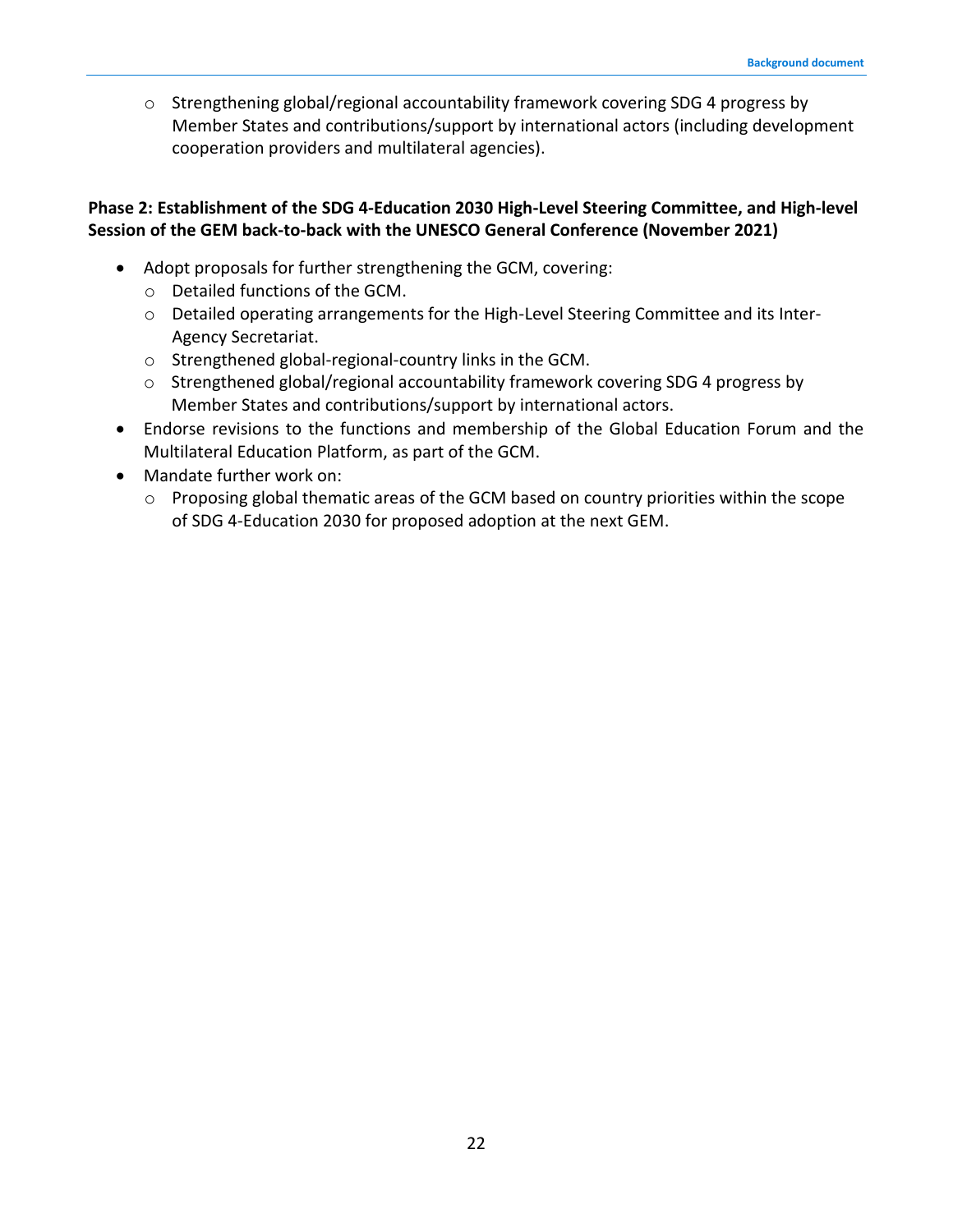o Strengthening global/regional accountability framework covering SDG 4 progress by Member States and contributions/support by international actors (including development cooperation providers and multilateral agencies).

## **Phase 2: Establishment of the SDG 4-Education 2030 High-Level Steering Committee, and High-level Session of the GEM back-to-back with the UNESCO General Conference (November 2021)**

- Adopt proposals for further strengthening the GCM, covering:
	- o Detailed functions of the GCM.
	- o Detailed operating arrangements for the High-Level Steering Committee and its Inter-Agency Secretariat.
	- o Strengthened global-regional-country links in the GCM.
	- o Strengthened global/regional accountability framework covering SDG 4 progress by Member States and contributions/support by international actors.
- Endorse revisions to the functions and membership of the Global Education Forum and the Multilateral Education Platform, as part of the GCM.
- Mandate further work on:
	- o Proposing global thematic areas of the GCM based on country priorities within the scope of SDG 4-Education 2030 for proposed adoption at the next GEM.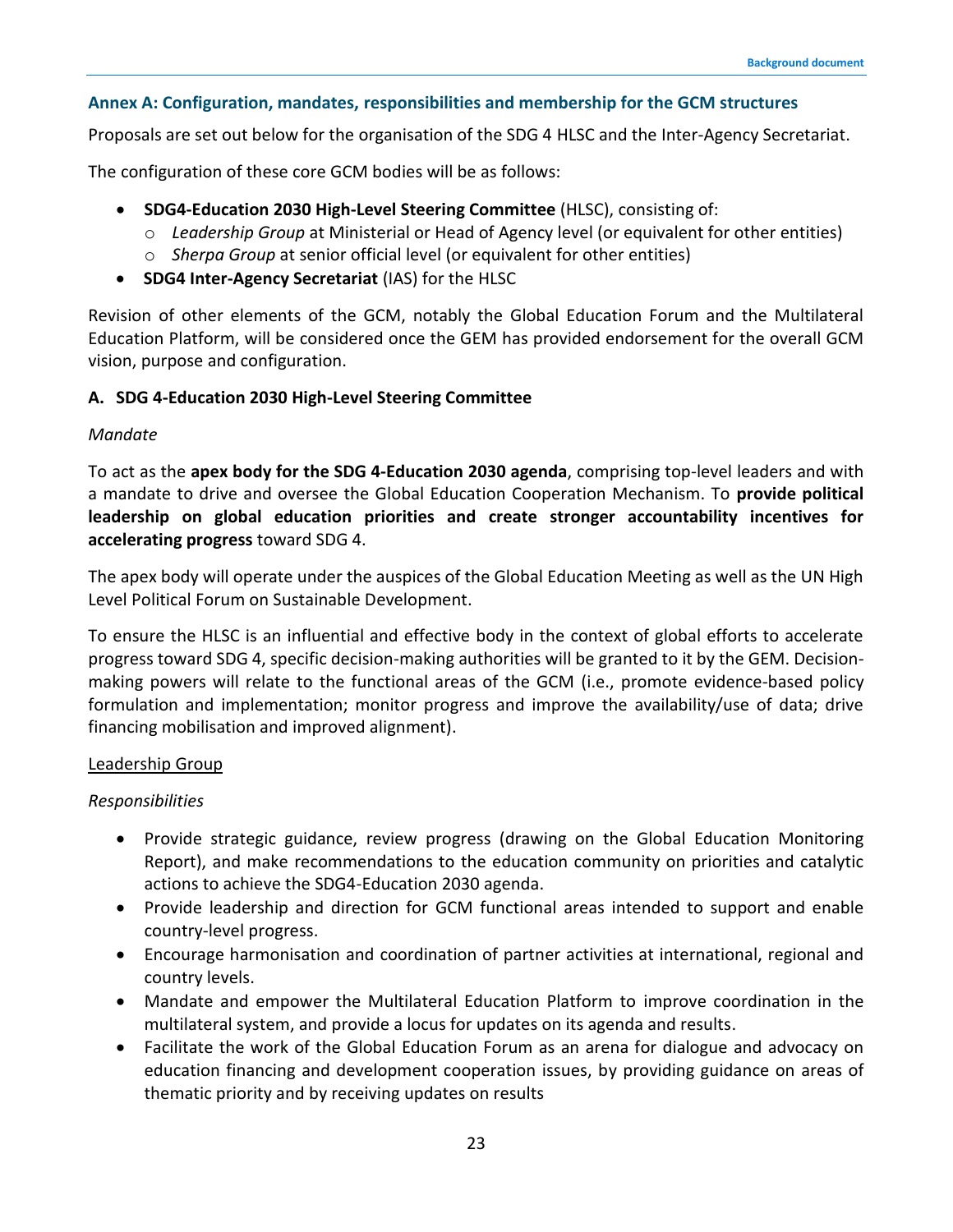## **Annex A: Configuration, mandates, responsibilities and membership for the GCM structures**

Proposals are set out below for the organisation of the SDG 4 HLSC and the Inter-Agency Secretariat.

The configuration of these core GCM bodies will be as follows:

- **SDG4-Education 2030 High-Level Steering Committee** (HLSC), consisting of:
	- o *Leadership Group* at Ministerial or Head of Agency level (or equivalent for other entities)
	- o *Sherpa Group* at senior official level (or equivalent for other entities)
- **SDG4 Inter-Agency Secretariat** (IAS) for the HLSC

Revision of other elements of the GCM, notably the Global Education Forum and the Multilateral Education Platform, will be considered once the GEM has provided endorsement for the overall GCM vision, purpose and configuration.

#### **A. SDG 4-Education 2030 High-Level Steering Committee**

#### *Mandate*

To act as the **apex body for the SDG 4-Education 2030 agenda**, comprising top-level leaders and with a mandate to drive and oversee the Global Education Cooperation Mechanism. To **provide political leadership on global education priorities and create stronger accountability incentives for accelerating progress** toward SDG 4.

The apex body will operate under the auspices of the Global Education Meeting as well as the UN High Level Political Forum on Sustainable Development.

To ensure the HLSC is an influential and effective body in the context of global efforts to accelerate progress toward SDG 4, specific decision-making authorities will be granted to it by the GEM. Decisionmaking powers will relate to the functional areas of the GCM (i.e., promote evidence-based policy formulation and implementation; monitor progress and improve the availability/use of data; drive financing mobilisation and improved alignment).

#### Leadership Group

#### *Responsibilities*

- Provide strategic guidance, review progress (drawing on the Global Education Monitoring Report), and make recommendations to the education community on priorities and catalytic actions to achieve the SDG4-Education 2030 agenda.
- Provide leadership and direction for GCM functional areas intended to support and enable country-level progress.
- Encourage harmonisation and coordination of partner activities at international, regional and country levels.
- Mandate and empower the Multilateral Education Platform to improve coordination in the multilateral system, and provide a locus for updates on its agenda and results.
- Facilitate the work of the Global Education Forum as an arena for dialogue and advocacy on education financing and development cooperation issues, by providing guidance on areas of thematic priority and by receiving updates on results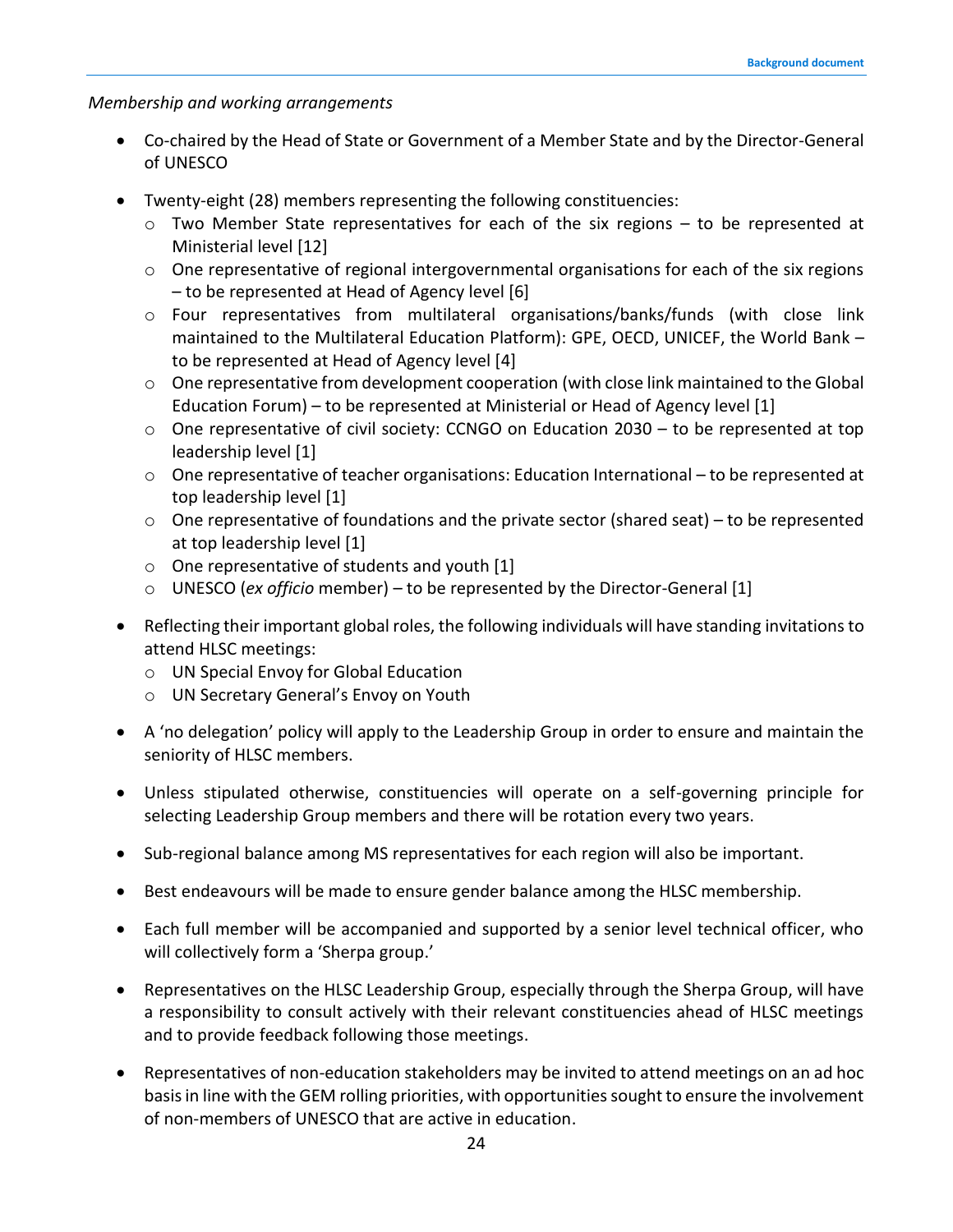#### *Membership and working arrangements*

- Co-chaired by the Head of State or Government of a Member State and by the Director-General of UNESCO
- Twenty-eight (28) members representing the following constituencies:
	- $\circ$  Two Member State representatives for each of the six regions to be represented at Ministerial level [12]
	- $\circ$  One representative of regional intergovernmental organisations for each of the six regions – to be represented at Head of Agency level [6]
	- o Four representatives from multilateral organisations/banks/funds (with close link maintained to the Multilateral Education Platform): GPE, OECD, UNICEF, the World Bank – to be represented at Head of Agency level [4]
	- o One representative from development cooperation (with close link maintained to the Global Education Forum) – to be represented at Ministerial or Head of Agency level [1]
	- $\circ$  One representative of civil society: CCNGO on Education 2030 to be represented at top leadership level [1]
	- o One representative of teacher organisations: Education International to be represented at top leadership level [1]
	- $\circ$  One representative of foundations and the private sector (shared seat) to be represented at top leadership level [1]
	- o One representative of students and youth [1]
	- o UNESCO (*ex officio* member) to be represented by the Director-General [1]
- Reflecting their important global roles, the following individuals will have standing invitations to attend HLSC meetings:
	- o UN Special Envoy for Global Education
	- o UN Secretary General's Envoy on Youth
- A 'no delegation' policy will apply to the Leadership Group in order to ensure and maintain the seniority of HLSC members.
- Unless stipulated otherwise, constituencies will operate on a self-governing principle for selecting Leadership Group members and there will be rotation every two years.
- Sub-regional balance among MS representatives for each region will also be important.
- Best endeavours will be made to ensure gender balance among the HLSC membership.
- Each full member will be accompanied and supported by a senior level technical officer, who will collectively form a 'Sherpa group.'
- Representatives on the HLSC Leadership Group, especially through the Sherpa Group, will have a responsibility to consult actively with their relevant constituencies ahead of HLSC meetings and to provide feedback following those meetings.
- Representatives of non-education stakeholders may be invited to attend meetings on an ad hoc basis in line with the GEM rolling priorities, with opportunities sought to ensure the involvement of non-members of UNESCO that are active in education.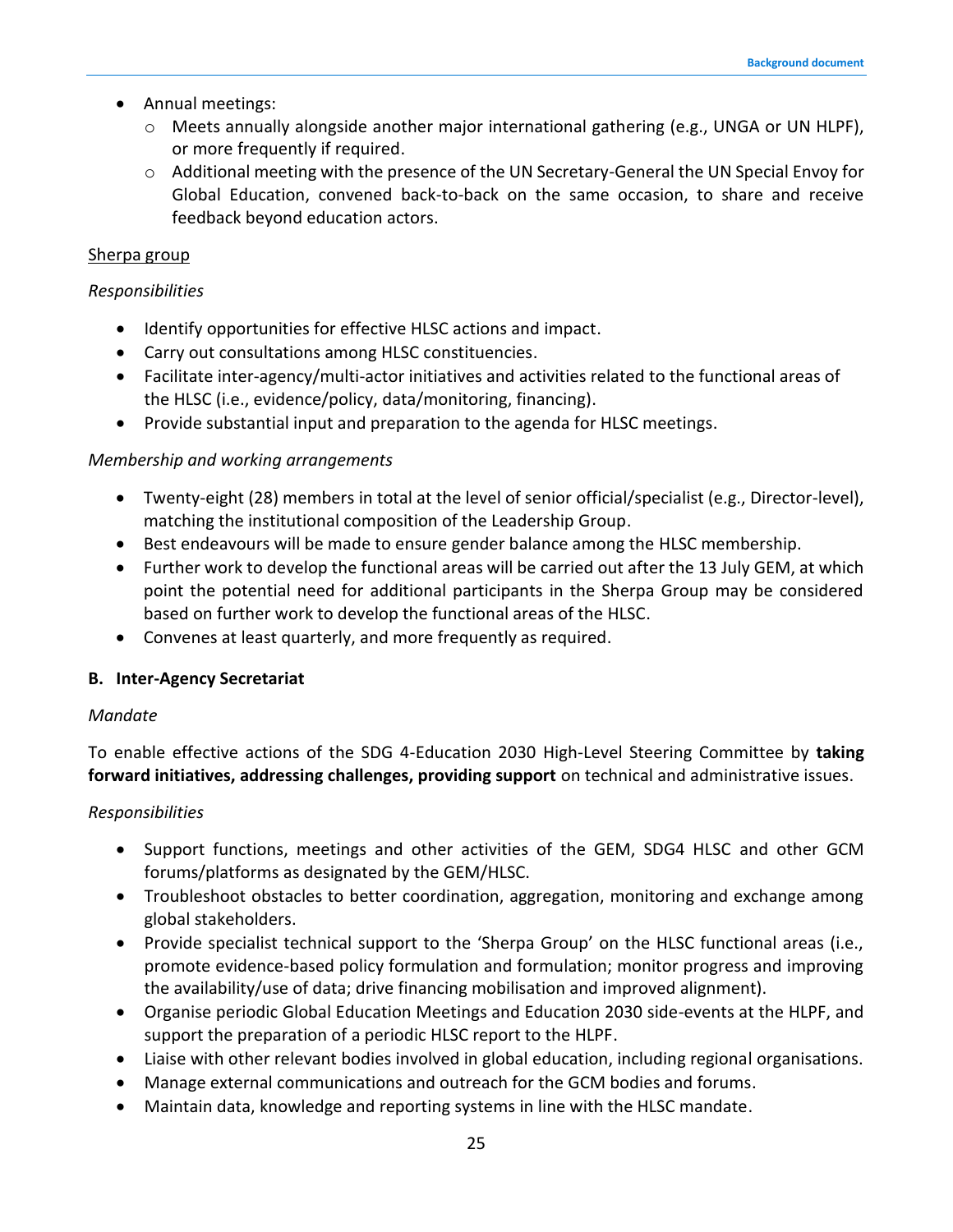- Annual meetings:
	- o Meets annually alongside another major international gathering (e.g., UNGA or UN HLPF), or more frequently if required.
	- o Additional meeting with the presence of the UN Secretary-General the UN Special Envoy for Global Education, convened back-to-back on the same occasion, to share and receive feedback beyond education actors.

#### Sherpa group

#### *Responsibilities*

- Identify opportunities for effective HLSC actions and impact.
- Carry out consultations among HLSC constituencies.
- Facilitate inter-agency/multi-actor initiatives and activities related to the functional areas of the HLSC (i.e., evidence/policy, data/monitoring, financing).
- Provide substantial input and preparation to the agenda for HLSC meetings.

#### *Membership and working arrangements*

- Twenty-eight (28) members in total at the level of senior official/specialist (e.g., Director-level), matching the institutional composition of the Leadership Group.
- Best endeavours will be made to ensure gender balance among the HLSC membership.
- Further work to develop the functional areas will be carried out after the 13 July GEM, at which point the potential need for additional participants in the Sherpa Group may be considered based on further work to develop the functional areas of the HLSC.
- Convenes at least quarterly, and more frequently as required.

#### **B. Inter-Agency Secretariat**

#### *Mandate*

To enable effective actions of the SDG 4-Education 2030 High-Level Steering Committee by **taking forward initiatives, addressing challenges, providing support** on technical and administrative issues.

#### *Responsibilities*

- Support functions, meetings and other activities of the GEM, SDG4 HLSC and other GCM forums/platforms as designated by the GEM/HLSC.
- Troubleshoot obstacles to better coordination, aggregation, monitoring and exchange among global stakeholders.
- Provide specialist technical support to the 'Sherpa Group' on the HLSC functional areas (i.e., promote evidence-based policy formulation and formulation; monitor progress and improving the availability/use of data; drive financing mobilisation and improved alignment).
- Organise periodic Global Education Meetings and Education 2030 side-events at the HLPF, and support the preparation of a periodic HLSC report to the HLPF.
- Liaise with other relevant bodies involved in global education, including regional organisations.
- Manage external communications and outreach for the GCM bodies and forums.
- Maintain data, knowledge and reporting systems in line with the HLSC mandate.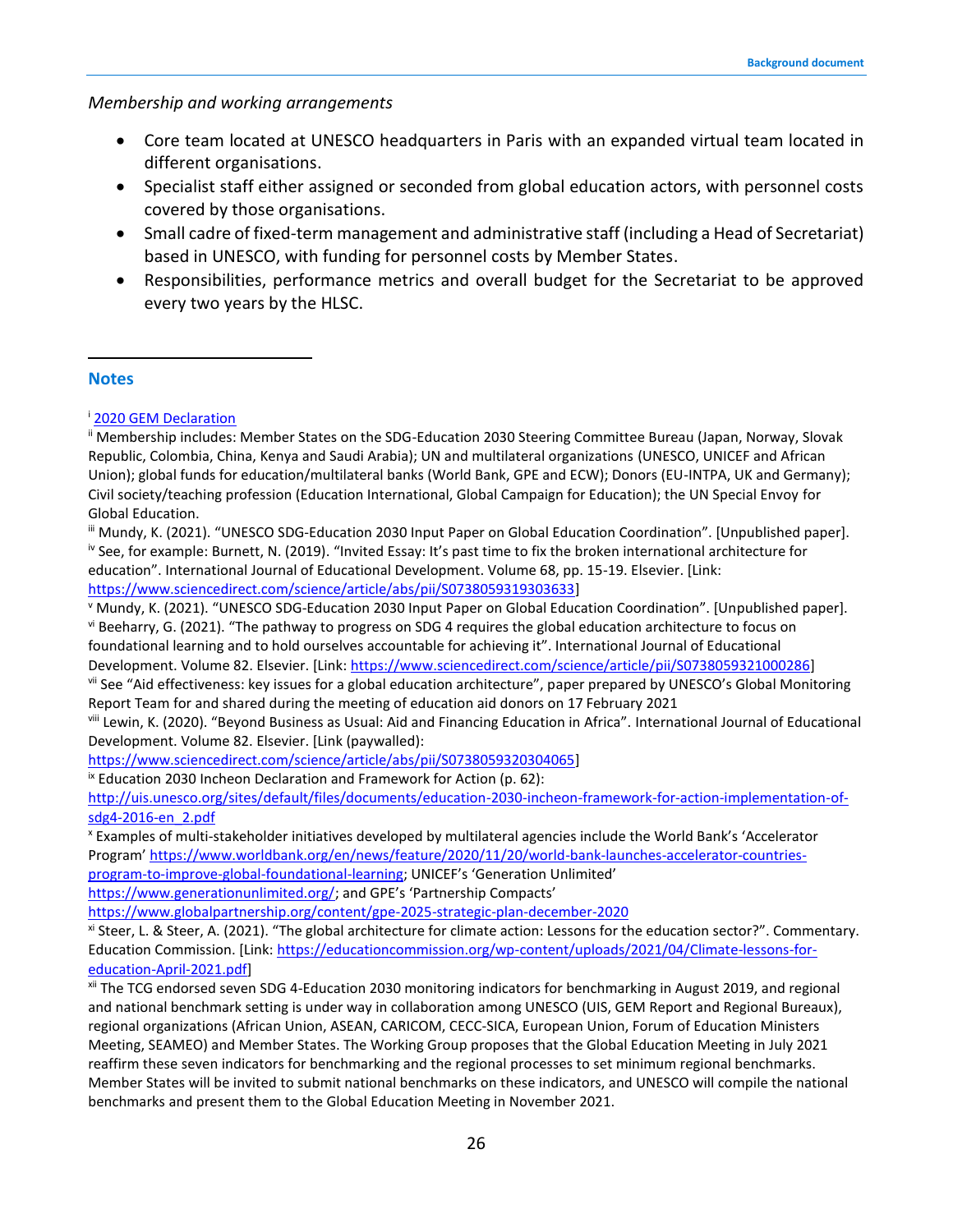*Membership and working arrangements*

- Core team located at UNESCO headquarters in Paris with an expanded virtual team located in different organisations.
- Specialist staff either assigned or seconded from global education actors, with personnel costs covered by those organisations.
- Small cadre of fixed-term management and administrative staff (including a Head of Secretariat) based in UNESCO, with funding for personnel costs by Member States.
- Responsibilities, performance metrics and overall budget for the Secretariat to be approved every two years by the HLSC.

#### **Notes**

#### <span id="page-25-0"></span><sup>i</sup> [2020 GEM Declaration](https://unesdoc.unesco.org/ark:/48223/pf0000374704/PDF/374704eng.pdf.multi)

ii Membership includes: Member States on the SDG-Education 2030 Steering Committee Bureau (Japan, Norway, Slovak Republic, Colombia, China, Kenya and Saudi Arabia); UN and multilateral organizations (UNESCO, UNICEF and African Union); global funds for education/multilateral banks (World Bank, GPE and ECW); Donors (EU-INTPA, UK and Germany); Civil society/teaching profession (Education International, Global Campaign for Education); the UN Special Envoy for Global Education.

iii Mundy, K. (2021). "UNESCO SDG-Education 2030 Input Paper on Global Education Coordination". [Unpublished paper]. iv See, for example: Burnett, N. (2019). "Invited Essay: It's past time to fix the broken international architecture for education". International Journal of Educational Development. Volume 68, pp. 15-19. Elsevier. [Link: [https://www.sciencedirect.com/science/article/abs/pii/S0738059319303633\]](https://www.sciencedirect.com/science/article/abs/pii/S0738059319303633)

<sup>v</sup> Mundy, K. (2021). "UNESCO SDG-Education 2030 Input Paper on Global Education Coordination". [Unpublished paper].

vi Beeharry, G. (2021). "The pathway to progress on SDG 4 requires the global education architecture to focus on foundational learning and to hold ourselves accountable for achieving it". International Journal of Educational

Development. Volume 82. Elsevier. [Link[: https://www.sciencedirect.com/science/article/pii/S0738059321000286\]](https://www.sciencedirect.com/science/article/pii/S0738059321000286)

vii See "Aid effectiveness: key issues for a global education architecture", paper prepared by UNESCO's Global Monitoring Report Team for and shared during the meeting of education aid donors on 17 February 2021

viii Lewin, K. (2020). "Beyond Business as Usual: Aid and Financing Education in Africa". International Journal of Educational Development. Volume 82. Elsevier. [Link (paywalled):

[https://www.sciencedirect.com/science/article/abs/pii/S0738059320304065\]](https://www.sciencedirect.com/science/article/abs/pii/S0738059320304065)

ix Education 2030 Incheon Declaration and Framework for Action (p. 62):

[http://uis.unesco.org/sites/default/files/documents/education-2030-incheon-framework-for-action-implementation-of](http://uis.unesco.org/sites/default/files/documents/education-2030-incheon-framework-for-action-implementation-of-sdg4-2016-en_2.pdf)[sdg4-2016-en\\_2.pdf](http://uis.unesco.org/sites/default/files/documents/education-2030-incheon-framework-for-action-implementation-of-sdg4-2016-en_2.pdf)

<sup>x</sup> Examples of multi-stakeholder initiatives developed by multilateral agencies include the World Bank's 'Accelerator Program' [https://www.worldbank.org/en/news/feature/2020/11/20/world-bank-launches-accelerator-countries-](https://www.worldbank.org/en/news/feature/2020/11/20/world-bank-launches-accelerator-countries-program-to-improve-global-foundational-learning)

[program-to-improve-global-foundational-learning](https://www.worldbank.org/en/news/feature/2020/11/20/world-bank-launches-accelerator-countries-program-to-improve-global-foundational-learning); UNICEF's 'Generation Unlimited'

<https://www.generationunlimited.org/>; and GPE's 'Partnership Compacts'

<https://www.globalpartnership.org/content/gpe-2025-strategic-plan-december-2020>

xi Steer, L. & Steer, A. (2021). "The global architecture for climate action: Lessons for the education sector?". Commentary. Education Commission. [Link: [https://educationcommission.org/wp-content/uploads/2021/04/Climate-lessons-for](https://educationcommission.org/wp-content/uploads/2021/04/Climate-lessons-for-education-April-2021.pdf)[education-April-2021.pdf\]](https://educationcommission.org/wp-content/uploads/2021/04/Climate-lessons-for-education-April-2021.pdf)

xii The TCG endorsed seven SDG 4-Education 2030 monitoring indicators for benchmarking in August 2019, and regional and national benchmark setting is under way in collaboration among UNESCO (UIS, GEM Report and Regional Bureaux), regional organizations (African Union, ASEAN, CARICOM, CECC-SICA, European Union, Forum of Education Ministers Meeting, SEAMEO) and Member States. The Working Group proposes that the Global Education Meeting in July 2021 reaffirm these seven indicators for benchmarking and the regional processes to set minimum regional benchmarks. Member States will be invited to submit national benchmarks on these indicators, and UNESCO will compile the national benchmarks and present them to the Global Education Meeting in November 2021.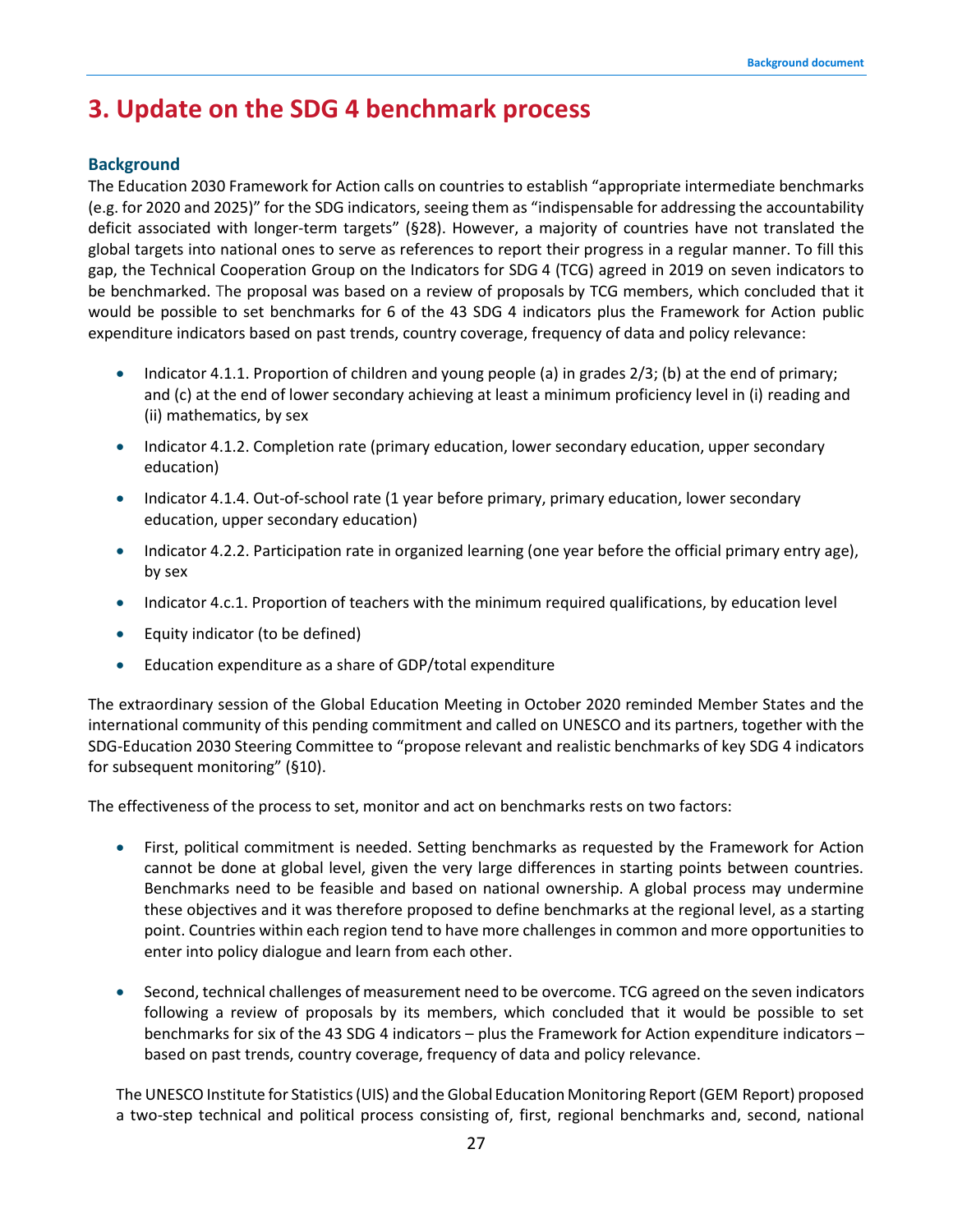## **3. Update on the SDG 4 benchmark process**

#### **Background**

The Education 2030 Framework for Action calls on countries to establish "appropriate intermediate benchmarks (e.g. for 2020 and 2025)" for the SDG indicators, seeing them as "indispensable for addressing the accountability deficit associated with longer-term targets" (§28). However, a majority of countries have not translated the global targets into national ones to serve as references to report their progress in a regular manner. To fill this gap, the Technical Cooperation Group on the Indicators for SDG 4 (TCG) agreed in 2019 on seven indicators to be benchmarked. The proposal was based on a review of [proposals](http://tcg.uis.unesco.org/wp-content/uploads/sites/4/2019/08/TCG6-REF-12-Benchmarking.pdf) by TCG members, which concluded that it would be possible to set benchmarks for 6 of the 43 SDG 4 indicators plus the Framework for Action public expenditure indicators based on past trends, country coverage, frequency of data and policy relevance:

- Indicator 4.1.1. Proportion of children and young people (a) in grades 2/3; (b) at the end of primary; and (c) at the end of lower secondary achieving at least a minimum proficiency level in (i) reading and (ii) mathematics, by sex
- Indicator 4.1.2. Completion rate (primary education, lower secondary education, upper secondary education)
- Indicator 4.1.4. Out-of-school rate (1 year before primary, primary education, lower secondary education, upper secondary education)
- Indicator 4.2.2. Participation rate in organized learning (one year before the official primary entry age), by sex
- Indicator 4.c.1. Proportion of teachers with the minimum required qualifications, by education level
- Equity indicator (to be defined)
- Education expenditure as a share of GDP/total expenditure

The extraordinary session of the Global Education Meeting in October 2020 reminded Member States and the international community of this pending commitment and called on UNESCO and its partners, together with the SDG-Education 2030 Steering Committee to "propose relevant and realistic benchmarks of key SDG 4 indicators for subsequent monitoring" (§10).

The effectiveness of the process to set, monitor and act on benchmarks rests on two factors:

- First, political commitment is needed. Setting benchmarks as requested by the Framework for Action cannot be done at global level, given the very large differences in starting points between countries. Benchmarks need to be feasible and based on national ownership. A global process may undermine these objectives and it was therefore proposed to define benchmarks at the regional level, as a starting point. Countries within each region tend to have more challenges in common and more opportunities to enter into policy dialogue and learn from each other.
- Second, technical challenges of measurement need to be overcome. TCG agreed on the seven indicators following a review of proposals by its members, which concluded that it would be possible to set benchmarks for six of the 43 SDG 4 indicators – plus the Framework for Action expenditure indicators – based on past trends, country coverage, frequency of data and policy relevance.

The UNESCO Institute for Statistics (UIS) and the Global Education Monitoring Report (GEM Report) proposed a two-step technical and political process consisting of, first, regional benchmarks and, second, national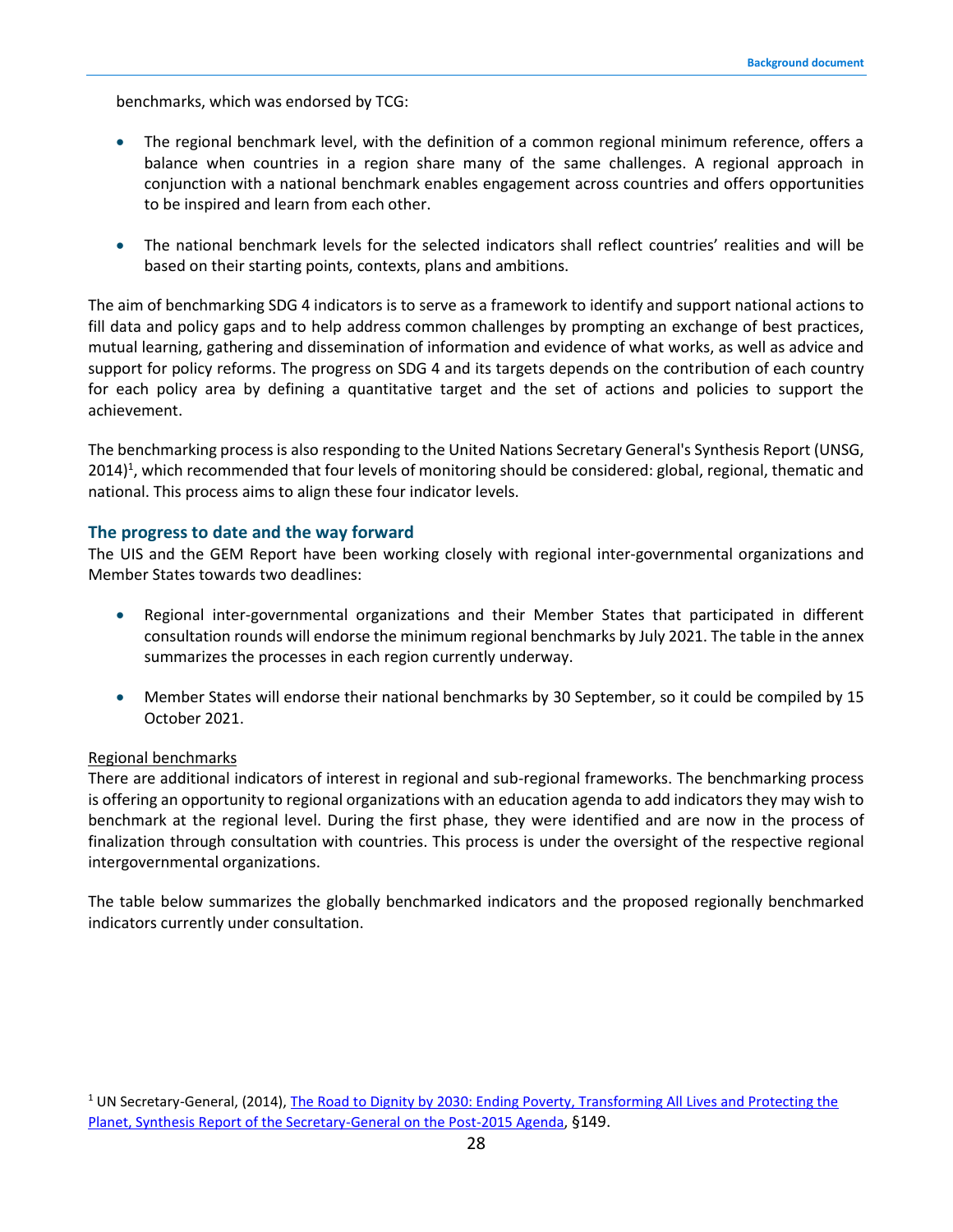benchmarks, which was endorsed by TCG:

- The regional benchmark level, with the definition of a common regional minimum reference, offers a balance when countries in a region share many of the same challenges. A regional approach in conjunction with a national benchmark enables engagement across countries and offers opportunities to be inspired and learn from each other.
- The national benchmark levels for the selected indicators shall reflect countries' realities and will be based on their starting points, contexts, plans and ambitions.

The aim of benchmarking SDG 4 indicators is to serve as a framework to identify and support national actions to fill data and policy gaps and to help address common challenges by prompting an exchange of best practices, mutual learning, gathering and dissemination of information and evidence of what works, as well as advice and support for policy reforms. The progress on SDG 4 and its targets depends on the contribution of each country for each policy area by defining a quantitative target and the set of actions and policies to support the achievement.

The benchmarking process is also responding to the United Nations Secretary General's Synthesis Report (UNSG, 2014)<sup>1</sup>, which recommended that four levels of monitoring should be considered: global, regional, thematic and national. This process aims to align these four indicator levels.

#### **The progress to date and the way forward**

The UIS and the GEM Report have been working closely with regional inter-governmental organizations and Member States towards two deadlines:

- Regional inter-governmental organizations and their Member States that participated in different consultation rounds will endorse the minimum regional benchmarks by July 2021. The table in the annex summarizes the processes in each region currently underway.
- Member States will endorse their national benchmarks by 30 September, so it could be compiled by 15 October 2021.

#### Regional benchmarks

There are additional indicators of interest in regional and sub-regional frameworks. The benchmarking process is offering an opportunity to regional organizations with an education agenda to add indicators they may wish to benchmark at the regional level. During the first phase, they were identified and are now in the process of finalization through consultation with countries. This process is under the oversight of the respective regional intergovernmental organizations.

The table below summarizes the globally benchmarked indicators and the proposed regionally benchmarked indicators currently under consultation.

<sup>&</sup>lt;sup>1</sup> UN Secretary-General, (2014), The Road to Dignity by 2030: Ending Poverty, Transforming All Lives and Protecting the [Planet, Synthesis Report of the Secretary-General on the Post-2015](https://www.un.org/en/development/desa/publications/files/2015/01/SynthesisReportENG.pdf) Agenda, §149.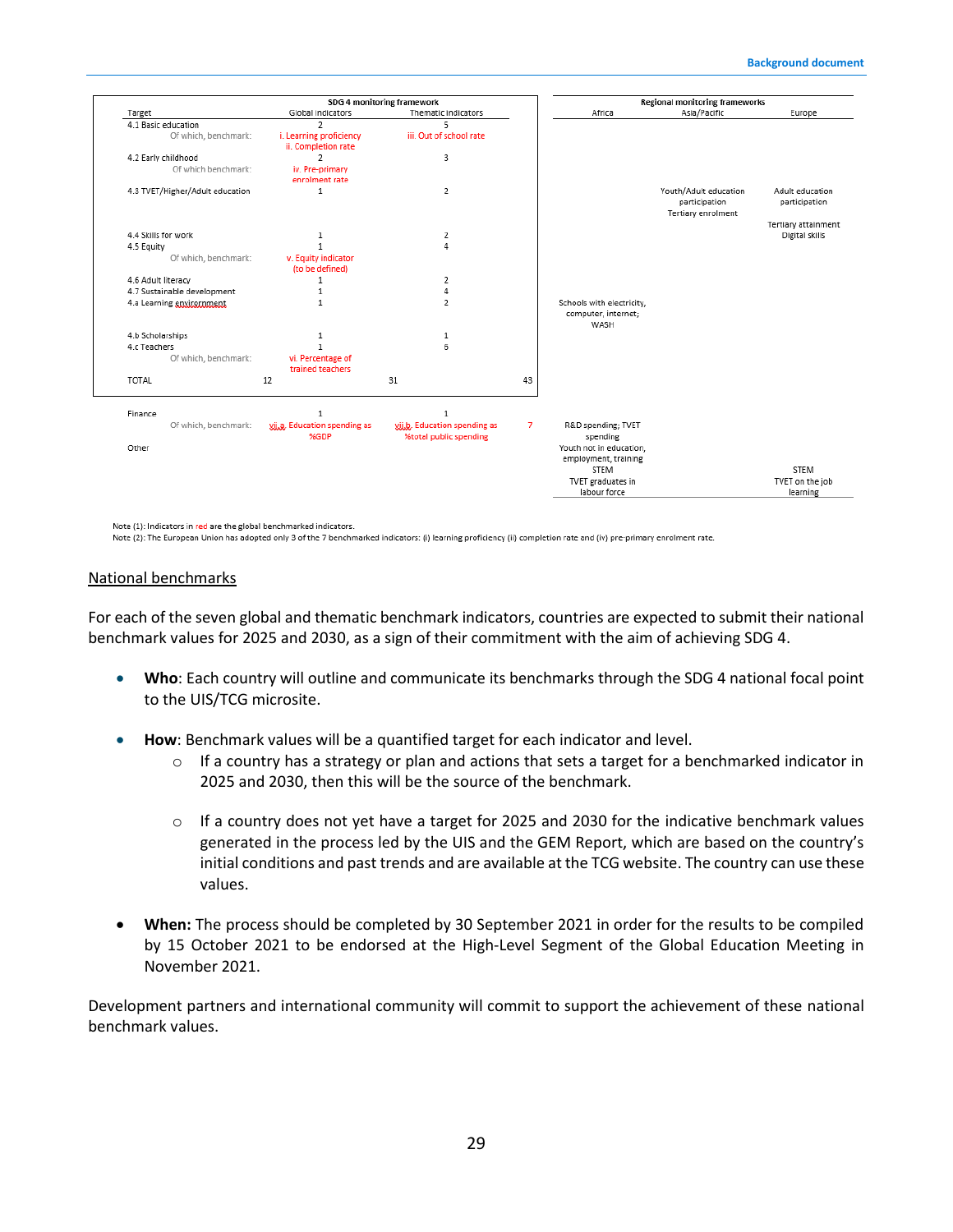

Note (1): Indicators in red are the global benchmarked indicators

Note (2): The European Union has adopted only 3 of the 7 benchmarked indicators: (i) learning proficiency (ii) completion rate and (iv) pre-primary enrolment rate.

#### National benchmarks

For each of the seven global and thematic benchmark indicators, countries are expected to submit their national benchmark values for 2025 and 2030, as a sign of their commitment with the aim of achieving SDG 4.

- **Who**: Each country will outline and communicate its benchmarks through the SDG 4 national focal point to the UIS/TCG microsite.
- **How**: Benchmark values will be a quantified target for each indicator and level.
	- $\circ$  If a country has a strategy or plan and actions that sets a target for a benchmarked indicator in 2025 and 2030, then this will be the source of the benchmark.
	- $\circ$  If a country does not yet have a target for 2025 and 2030 for the indicative benchmark values generated in the process led by the UIS and the GEM Report, which are based on the country's initial conditions and past trends and are available at the TCG website. The country can use these values.
- **When:** The process should be completed by 30 September 2021 in order for the results to be compiled by 15 October 2021 to be endorsed at the High-Level Segment of the Global Education Meeting in November 2021.

Development partners and international community will commit to support the achievement of these national benchmark values.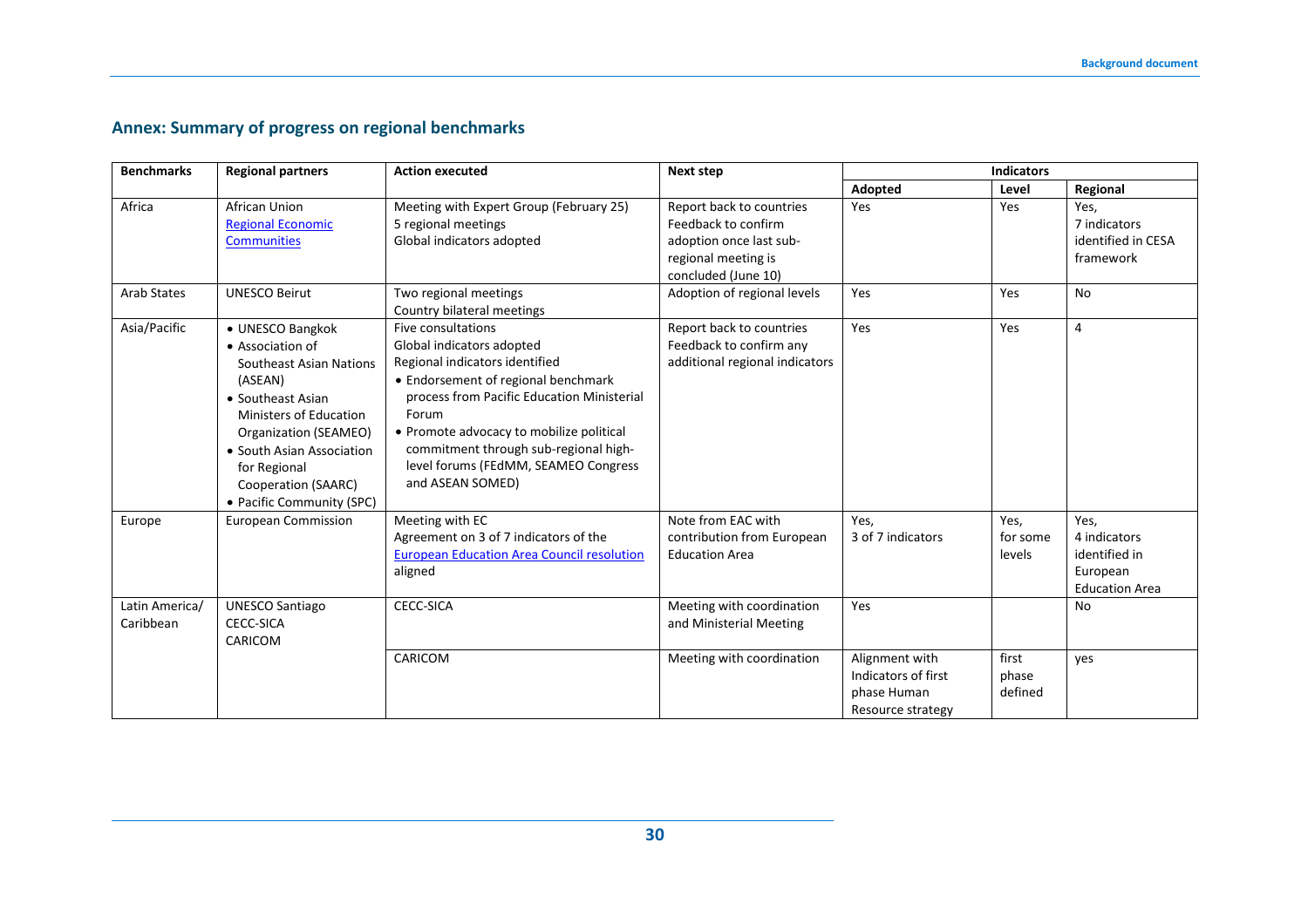## **Annex: Summary of progress on regional benchmarks**

| <b>Benchmarks</b>           | <b>Regional partners</b>                                                                                                                                                                                                                            | <b>Action executed</b>                                                                                                                                                                                                                                                                                                           | <b>Next step</b>                                                                                                         | <b>Indicators</b>                                                         |                            |                                                                            |
|-----------------------------|-----------------------------------------------------------------------------------------------------------------------------------------------------------------------------------------------------------------------------------------------------|----------------------------------------------------------------------------------------------------------------------------------------------------------------------------------------------------------------------------------------------------------------------------------------------------------------------------------|--------------------------------------------------------------------------------------------------------------------------|---------------------------------------------------------------------------|----------------------------|----------------------------------------------------------------------------|
|                             |                                                                                                                                                                                                                                                     |                                                                                                                                                                                                                                                                                                                                  |                                                                                                                          | Adopted                                                                   | Level                      | Regional                                                                   |
| Africa                      | African Union<br><b>Regional Economic</b><br><b>Communities</b>                                                                                                                                                                                     | Meeting with Expert Group (February 25)<br>5 regional meetings<br>Global indicators adopted                                                                                                                                                                                                                                      | Report back to countries<br>Feedback to confirm<br>adoption once last sub-<br>regional meeting is<br>concluded (June 10) | Yes                                                                       | Yes                        | Yes.<br>7 indicators<br>identified in CESA<br>framework                    |
| <b>Arab States</b>          | <b>UNESCO Beirut</b>                                                                                                                                                                                                                                | Two regional meetings<br>Country bilateral meetings                                                                                                                                                                                                                                                                              | Adoption of regional levels                                                                                              | Yes                                                                       | Yes                        | <b>No</b>                                                                  |
| Asia/Pacific                | • UNESCO Bangkok<br>• Association of<br>Southeast Asian Nations<br>(ASEAN)<br>• Southeast Asian<br>Ministers of Education<br>Organization (SEAMEO)<br>• South Asian Association<br>for Regional<br>Cooperation (SAARC)<br>• Pacific Community (SPC) | Five consultations<br>Global indicators adopted<br>Regional indicators identified<br>• Endorsement of regional benchmark<br>process from Pacific Education Ministerial<br>Forum<br>• Promote advocacy to mobilize political<br>commitment through sub-regional high-<br>level forums (FEdMM, SEAMEO Congress<br>and ASEAN SOMED) | Report back to countries<br>Feedback to confirm any<br>additional regional indicators                                    | Yes                                                                       | Yes                        | 4                                                                          |
| Europe                      | <b>European Commission</b>                                                                                                                                                                                                                          | Meeting with EC<br>Agreement on 3 of 7 indicators of the<br><b>European Education Area Council resolution</b><br>aligned                                                                                                                                                                                                         | Note from EAC with<br>contribution from European<br><b>Education Area</b>                                                | Yes.<br>3 of 7 indicators                                                 | Yes,<br>for some<br>levels | Yes.<br>4 indicators<br>identified in<br>European<br><b>Education Area</b> |
| Latin America/<br>Caribbean | <b>UNESCO Santiago</b><br><b>CECC-SICA</b><br>CARICOM                                                                                                                                                                                               | <b>CECC-SICA</b>                                                                                                                                                                                                                                                                                                                 | Meeting with coordination<br>and Ministerial Meeting                                                                     | Yes                                                                       |                            | No                                                                         |
|                             |                                                                                                                                                                                                                                                     | CARICOM                                                                                                                                                                                                                                                                                                                          | Meeting with coordination                                                                                                | Alignment with<br>Indicators of first<br>phase Human<br>Resource strategy | first<br>phase<br>defined  | yes                                                                        |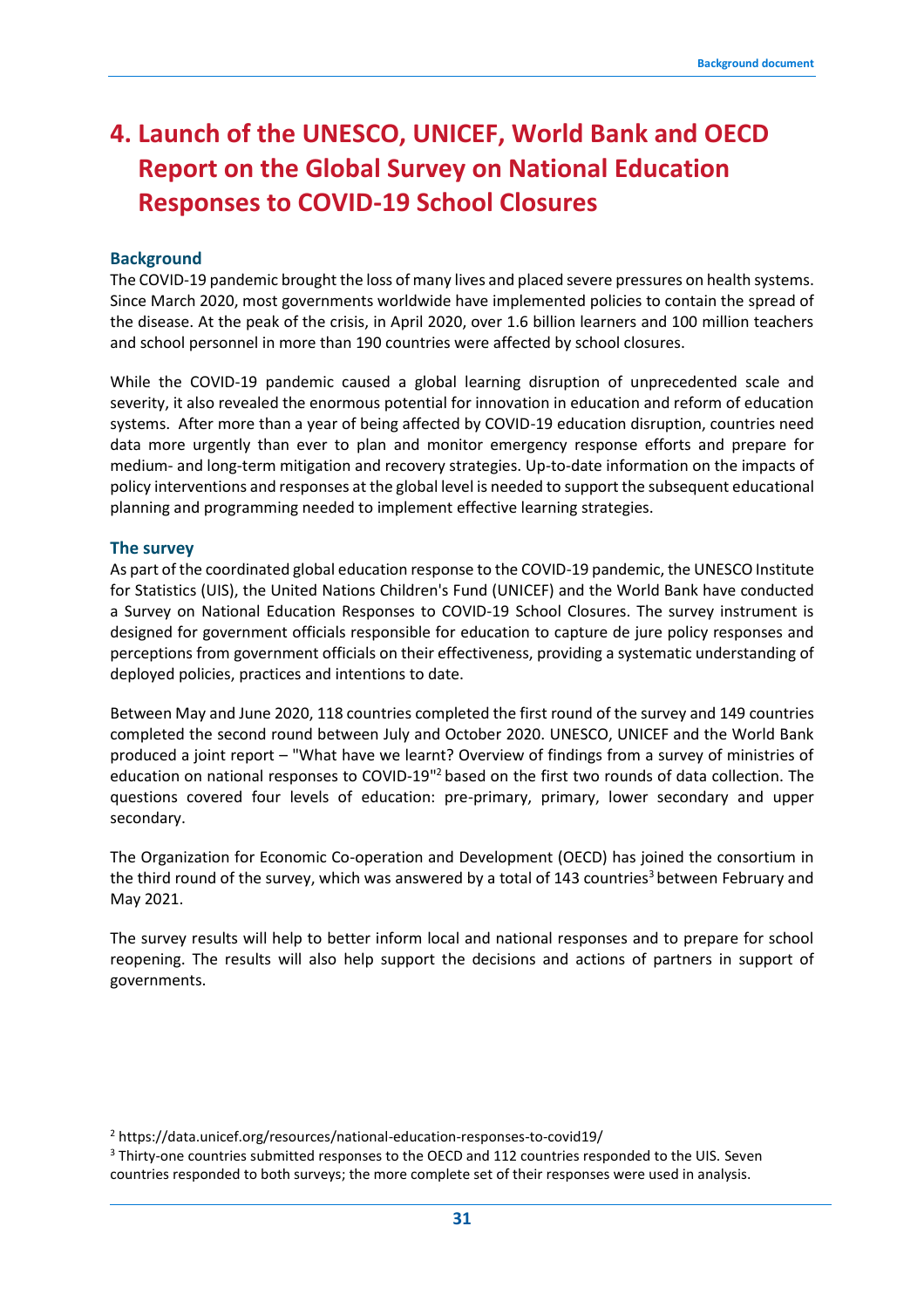## <span id="page-30-0"></span>**4. Launch of the UNESCO, UNICEF, World Bank and OECD Report on the Global Survey on National Education Responses to COVID-19 School Closures**

#### **Background**

The COVID-19 pandemic brought the loss of many lives and placed severe pressures on health systems. Since March 2020, most governments worldwide have implemented policies to contain the spread of the disease. At the peak of the crisis, in April 2020, over 1.6 billion learners and 100 million teachers and school personnel in more than 190 countries were affected by school closures.

While the COVID-19 pandemic caused a global learning disruption of unprecedented scale and severity, it also revealed the enormous potential for innovation in education and reform of education systems. After more than a year of being affected by COVID-19 education disruption, countries need data more urgently than ever to plan and monitor emergency response efforts and prepare for medium- and long-term mitigation and recovery strategies. Up-to-date information on the impacts of policy interventions and responses at the global level is needed to support the subsequent educational planning and programming needed to implement effective learning strategies.

#### **The survey**

As part of the coordinated global education response to the COVID-19 pandemic, the UNESCO Institute for Statistics (UIS), the United Nations Children's Fund (UNICEF) and the World Bank have conducted a Survey on National Education Responses to COVID-19 School Closures. The survey instrument is designed for government officials responsible for education to capture de jure policy responses and perceptions from government officials on their effectiveness, providing a systematic understanding of deployed policies, practices and intentions to date.

Between May and June 2020, 118 countries completed the first round of the survey and 149 countries completed the second round between July and October 2020. UNESCO, UNICEF and the World Bank produced a joint report – "What have we learnt? Overview of findings from a survey of ministries of education on national responses to COVID-19"<sup>2</sup> based on the first two rounds of data collection. The questions covered four levels of education: pre-primary, primary, lower secondary and upper secondary.

The Organization for Economic Co-operation and Development (OECD) has joined the consortium in the third round of the survey, which was answered by a total of 143 countries<sup>3</sup> between February and May 2021.

The survey results will help to better inform local and national responses and to prepare for school reopening. The results will also help support the decisions and actions of partners in support of governments.

<sup>2</sup> https://data.unicef.org/resources/national-education-responses-to-covid19/

<sup>&</sup>lt;sup>3</sup> Thirty-one countries submitted responses to the OECD and 112 countries responded to the UIS. Seven countries responded to both surveys; the more complete set of their responses were used in analysis.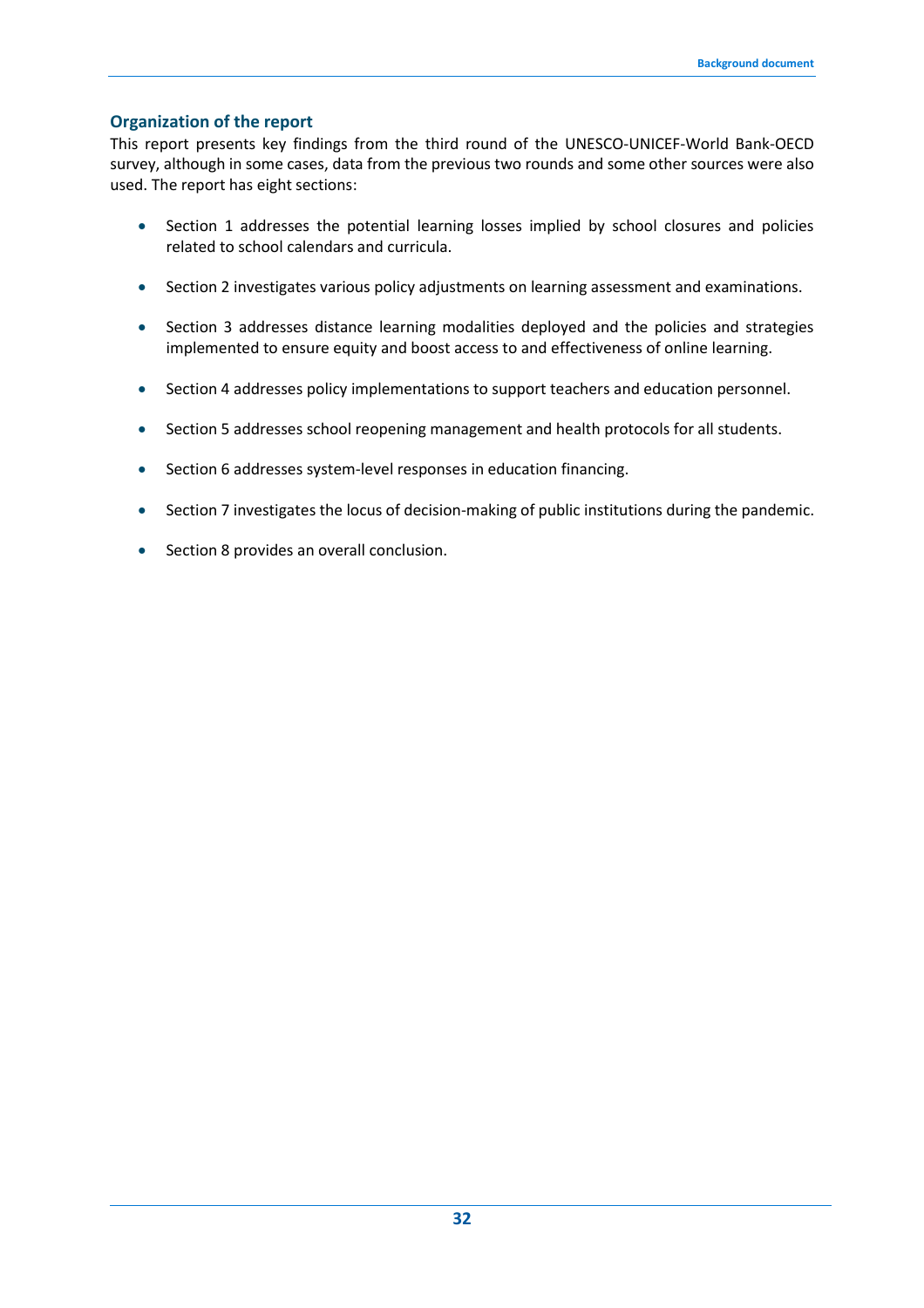## **Organization of the report**

This report presents key findings from the third round of the UNESCO-UNICEF-World Bank-OECD survey, although in some cases, data from the previous two rounds and some other sources were also used. The report has eight sections:

- Section 1 addresses the potential learning losses implied by school closures and policies related to school calendars and curricula.
- Section 2 investigates various policy adjustments on learning assessment and examinations.
- Section 3 addresses distance learning modalities deployed and the policies and strategies implemented to ensure equity and boost access to and effectiveness of online learning.
- Section 4 addresses policy implementations to support teachers and education personnel.
- Section 5 addresses school reopening management and health protocols for all students.
- Section 6 addresses system-level responses in education financing.
- Section 7 investigates the locus of decision-making of public institutions during the pandemic.
- Section 8 provides an overall conclusion.